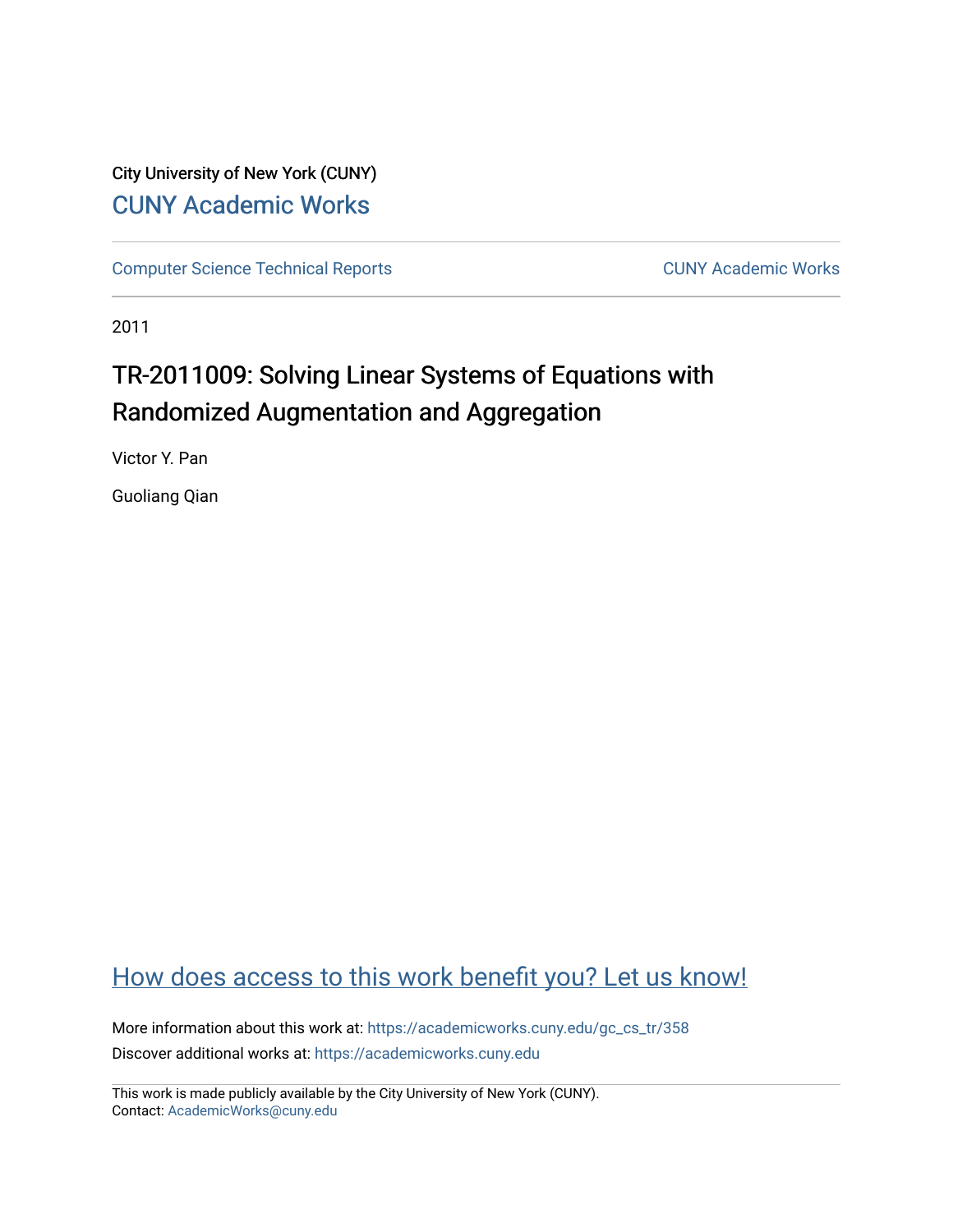# City University of New York (CUNY) [CUNY Academic Works](https://academicworks.cuny.edu/)

[Computer Science Technical Reports](https://academicworks.cuny.edu/gc_cs_tr) **CUNY Academic Works** CUNY Academic Works

2011

# TR-2011009: Solving Linear Systems of Equations with Randomized Augmentation and Aggregation

Victor Y. Pan

Guoliang Qian

# [How does access to this work benefit you? Let us know!](http://ols.cuny.edu/academicworks/?ref=https://academicworks.cuny.edu/gc_cs_tr/358)

More information about this work at: https://academicworks.cuny.edu/gc\_cs\_tr/358 Discover additional works at: [https://academicworks.cuny.edu](https://academicworks.cuny.edu/?)

This work is made publicly available by the City University of New York (CUNY). Contact: [AcademicWorks@cuny.edu](mailto:AcademicWorks@cuny.edu)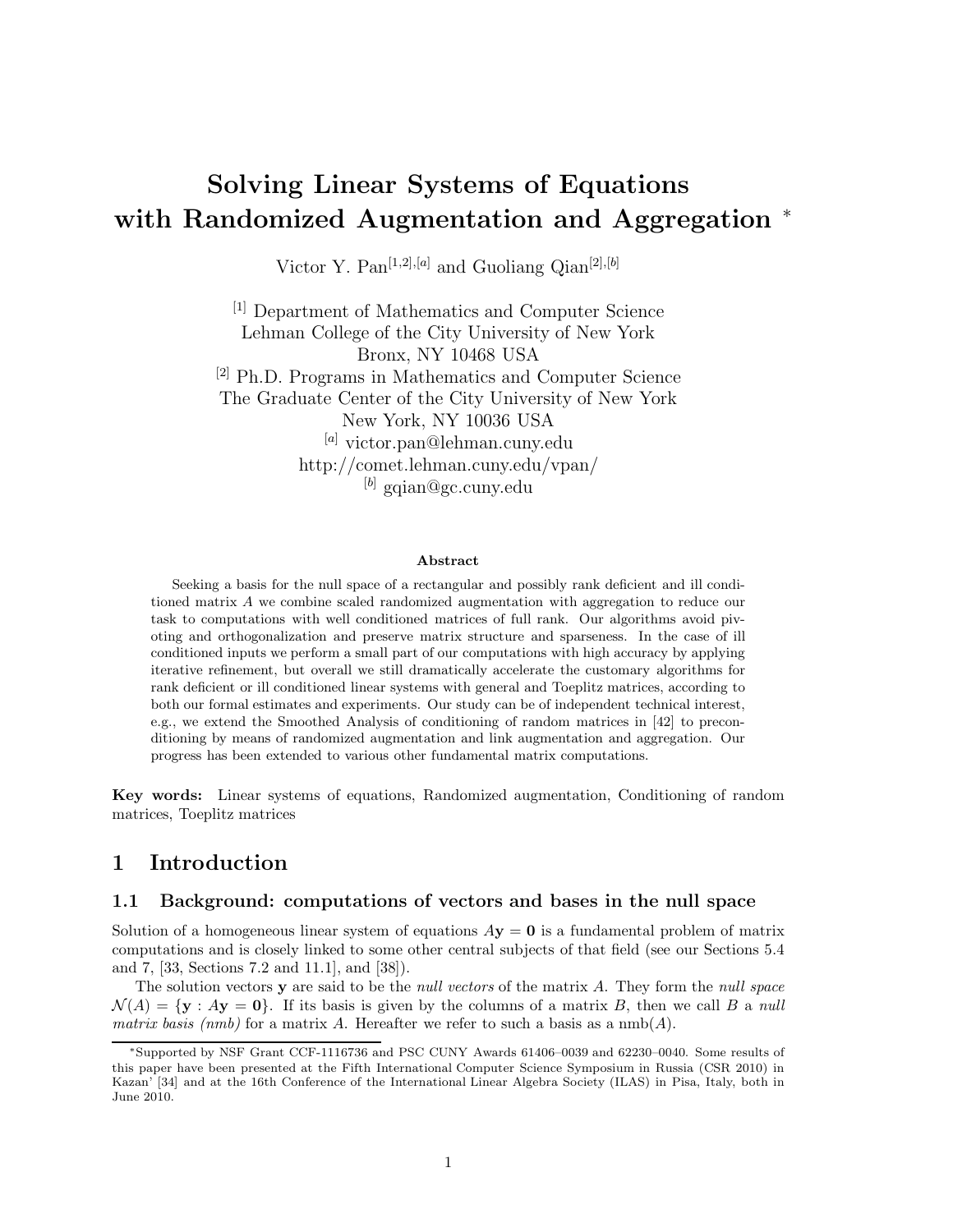# **Solving Linear Systems of Equations with Randomized Augmentation and Aggregation** <sup>∗</sup>

Victor Y. Pan[1*,*2]*,*[*a*] and Guoliang Qian[2]*,*[*b*]

[1] Department of Mathematics and Computer Science Lehman College of the City University of New York Bronx, NY 10468 USA [2] Ph.D. Programs in Mathematics and Computer Science The Graduate Center of the City University of New York New York, NY 10036 USA [*a*] victor.pan@lehman.cuny.edu http://comet.lehman.cuny.edu/vpan/ [*b*] gqian@gc.cuny.edu

#### **Abstract**

Seeking a basis for the null space of a rectangular and possibly rank deficient and ill conditioned matrix *A* we combine scaled randomized augmentation with aggregation to reduce our task to computations with well conditioned matrices of full rank. Our algorithms avoid pivoting and orthogonalization and preserve matrix structure and sparseness. In the case of ill conditioned inputs we perform a small part of our computations with high accuracy by applying iterative refinement, but overall we still dramatically accelerate the customary algorithms for rank deficient or ill conditioned linear systems with general and Toeplitz matrices, according to both our formal estimates and experiments. Our study can be of independent technical interest, e.g., we extend the Smoothed Analysis of conditioning of random matrices in [42] to preconditioning by means of randomized augmentation and link augmentation and aggregation. Our progress has been extended to various other fundamental matrix computations.

**Key words:** Linear systems of equations, Randomized augmentation, Conditioning of random matrices, Toeplitz matrices

# **1 Introduction**

### **1.1 Background: computations of vectors and bases in the null space**

Solution of a homogeneous linear system of equations  $A$ **y** = **0** is a fundamental problem of matrix computations and is closely linked to some other central subjects of that field (see our Sections 5.4 and 7, [33, Sections 7.2 and 11.1], and [38]).

The solution vectors **y** are said to be the *null vectors* of the matrix *A*. They form the *null space*  $\mathcal{N}(A) = \{ \mathbf{y} : A\mathbf{y} = \mathbf{0} \}.$  If its basis is given by the columns of a matrix *B*, then we call *B* a *null matrix basis (nmb)* for a matrix A. Hereafter we refer to such a basis as a  $\text{nmb}(A)$ .

<sup>∗</sup>Supported by NSF Grant CCF-1116736 and PSC CUNY Awards 61406–0039 and 62230–0040. Some results of this paper have been presented at the Fifth International Computer Science Symposium in Russia (CSR 2010) in Kazan' [34] and at the 16th Conference of the International Linear Algebra Society (ILAS) in Pisa, Italy, both in June 2010.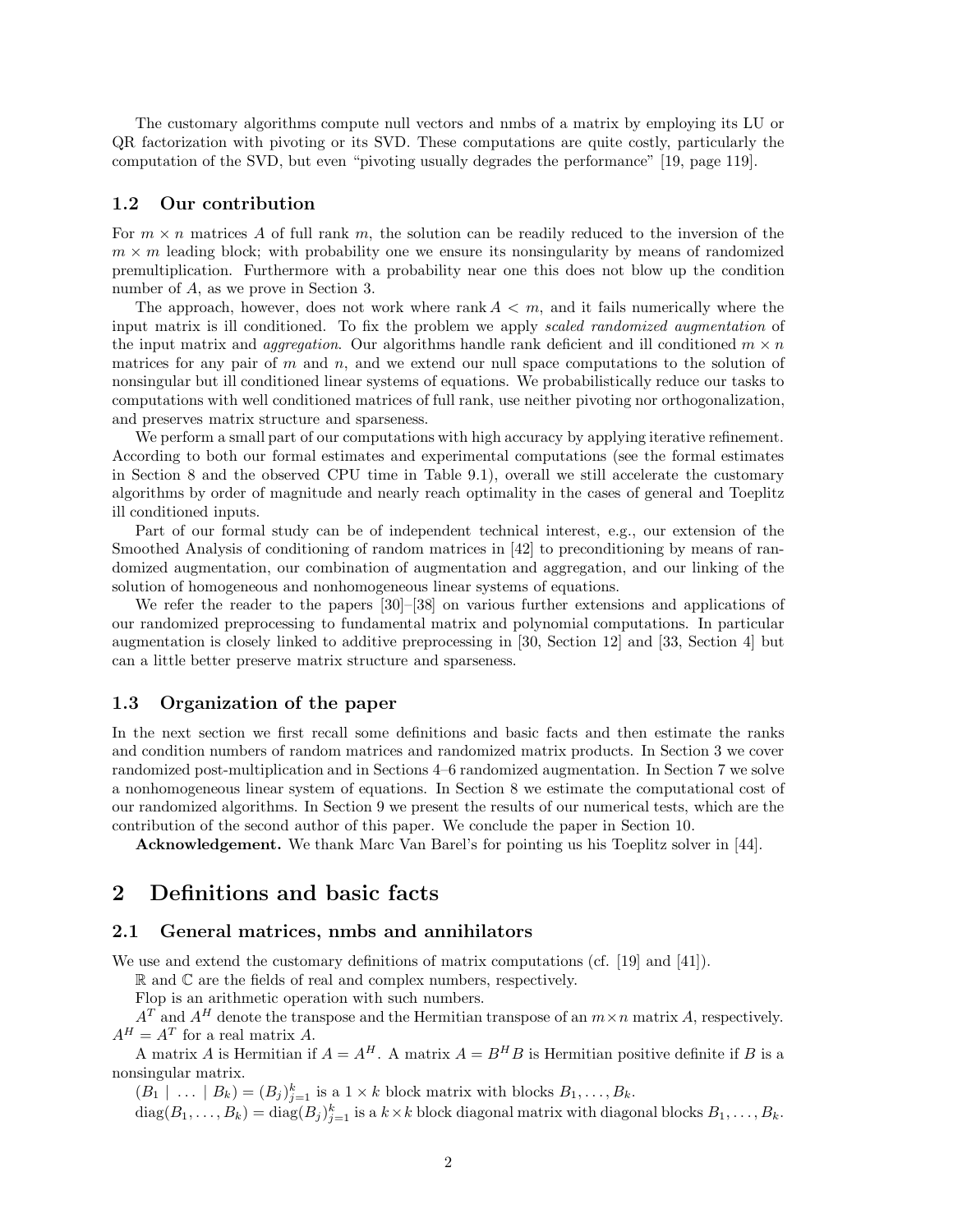The customary algorithms compute null vectors and nmbs of a matrix by employing its LU or QR factorization with pivoting or its SVD. These computations are quite costly, particularly the computation of the SVD, but even "pivoting usually degrades the performance" [19, page 119].

## **1.2 Our contribution**

For  $m \times n$  matrices A of full rank  $m$ , the solution can be readily reduced to the inversion of the  $m \times m$  leading block; with probability one we ensure its nonsingularity by means of randomized premultiplication. Furthermore with a probability near one this does not blow up the condition number of *A*, as we prove in Section 3.

The approach, however, does not work where rank  $A < m$ , and it fails numerically where the input matrix is ill conditioned. To fix the problem we apply *scaled randomized augmentation* of the input matrix and *aggregation*. Our algorithms handle rank deficient and ill conditioned  $m \times n$ matrices for any pair of *m* and *n*, and we extend our null space computations to the solution of nonsingular but ill conditioned linear systems of equations. We probabilistically reduce our tasks to computations with well conditioned matrices of full rank, use neither pivoting nor orthogonalization, and preserves matrix structure and sparseness.

We perform a small part of our computations with high accuracy by applying iterative refinement. According to both our formal estimates and experimental computations (see the formal estimates in Section 8 and the observed CPU time in Table 9.1), overall we still accelerate the customary algorithms by order of magnitude and nearly reach optimality in the cases of general and Toeplitz ill conditioned inputs.

Part of our formal study can be of independent technical interest, e.g., our extension of the Smoothed Analysis of conditioning of random matrices in [42] to preconditioning by means of randomized augmentation, our combination of augmentation and aggregation, and our linking of the solution of homogeneous and nonhomogeneous linear systems of equations.

We refer the reader to the papers [30]–[38] on various further extensions and applications of our randomized preprocessing to fundamental matrix and polynomial computations. In particular augmentation is closely linked to additive preprocessing in [30, Section 12] and [33, Section 4] but can a little better preserve matrix structure and sparseness.

# **1.3 Organization of the paper**

In the next section we first recall some definitions and basic facts and then estimate the ranks and condition numbers of random matrices and randomized matrix products. In Section 3 we cover randomized post-multiplication and in Sections 4–6 randomized augmentation. In Section 7 we solve a nonhomogeneous linear system of equations. In Section 8 we estimate the computational cost of our randomized algorithms. In Section 9 we present the results of our numerical tests, which are the contribution of the second author of this paper. We conclude the paper in Section 10.

**Acknowledgement.** We thank Marc Van Barel's for pointing us his Toeplitz solver in [44].

# **2 Definitions and basic facts**

## **2.1 General matrices, nmbs and annihilators**

We use and extend the customary definitions of matrix computations (cf. [19] and [41]).

 $\mathbb R$  and  $\mathbb C$  are the fields of real and complex numbers, respectively.

Flop is an arithmetic operation with such numbers.

 $A^T$  and  $A^H$  denote the transpose and the Hermitian transpose of an  $m \times n$  matrix *A*, respectively.  $A^H = A^T$  for a real matrix *A*.

A matrix *A* is Hermitian if  $A = A^H$ . A matrix  $A = B^H B$  is Hermitian positive definite if *B* is a nonsingular matrix.

 $(B_1 \mid \ldots \mid B_k) = (B_j)_{j=1}^k$  is a  $1 \times k$  block matrix with blocks  $B_1, \ldots, B_k$ .

 $\text{diag}(B_1,\ldots,B_k) = \text{diag}(B_j)_{j=1}^k$  is a  $k \times k$  block diagonal matrix with diagonal blocks  $B_1,\ldots,B_k$ .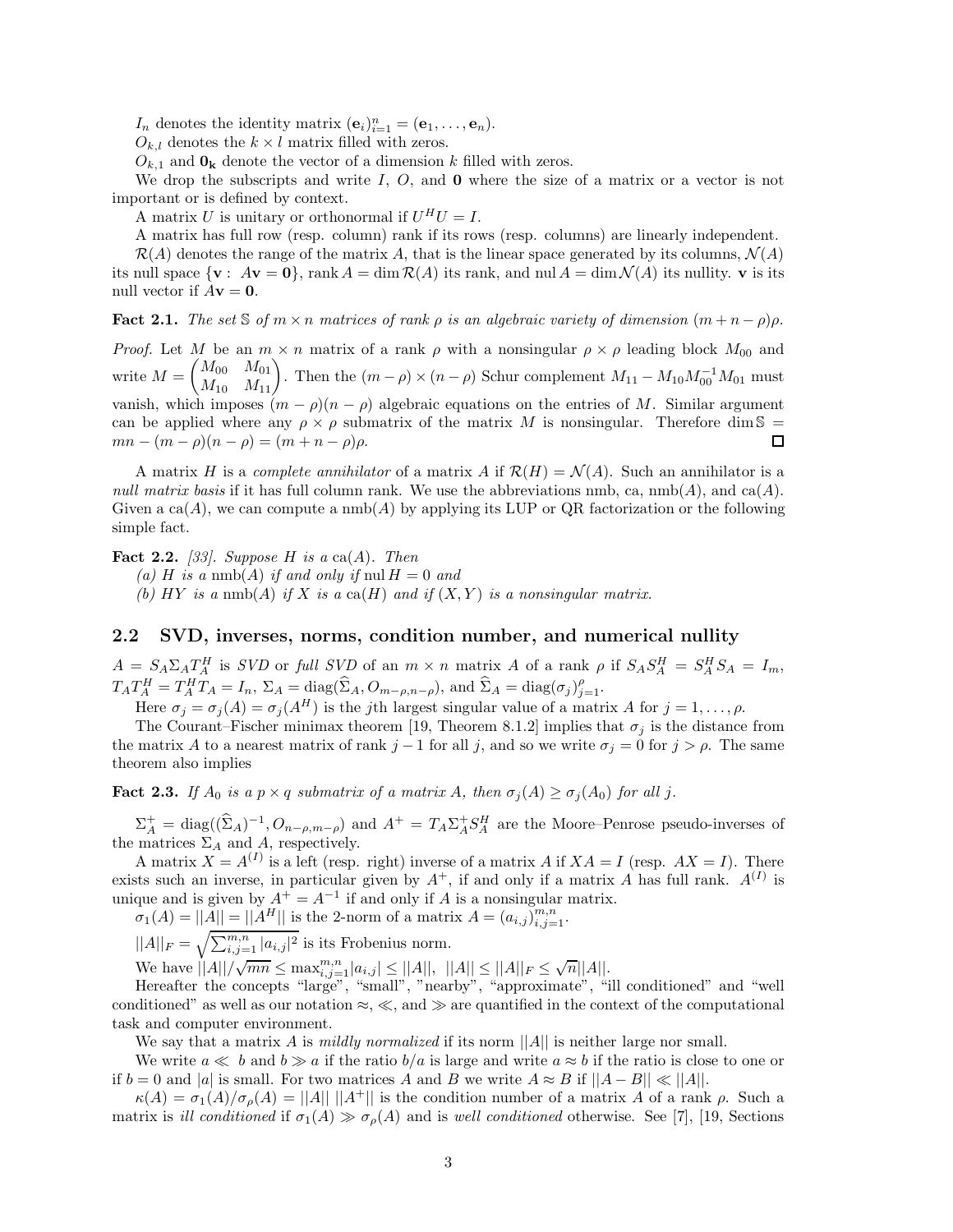*I<sub>n</sub>* denotes the identity matrix  $(\mathbf{e}_i)_{i=1}^n = (\mathbf{e}_1, \ldots, \mathbf{e}_n)$ .

 $O_{k,l}$  denotes the  $k \times l$  matrix filled with zeros.

 $O_{k,1}$  and  $O_k$  denote the vector of a dimension *k* filled with zeros.

We drop the subscripts and write *I*, *O*, and **0** where the size of a matrix or a vector is not important or is defined by context.

A matrix *U* is unitary or orthonormal if  $U^H U = I$ .

A matrix has full row (resp. column) rank if its rows (resp. columns) are linearly independent.

 $\mathcal{R}(A)$  denotes the range of the matrix A, that is the linear space generated by its columns,  $\mathcal{N}(A)$ its null space  $\{ \mathbf{v} : A\mathbf{v} = \mathbf{0} \}$ , rank  $A = \dim \mathcal{R}(A)$  its rank, and nul  $A = \dim \mathcal{N}(A)$  its nullity. **v** is its null vector if  $A$ **v** = **0**.

**Fact 2.1.** *The set*  $\Im$  *of*  $m \times n$  *matrices of rank*  $\rho$  *is an algebraic variety of dimension*  $(m + n - \rho)\rho$ *.* 

*Proof.* Let *M* be an  $m \times n$  matrix of a rank  $\rho$  with a nonsingular  $\rho \times \rho$  leading block  $M_{00}$  and  $\begin{pmatrix} M_{00} & M_{01} \\ M_{10} & M_{11} \end{pmatrix}$ . Then the  $(m - \rho) \times (n - \rho)$  Schur complement  $M_{11} - M_{10} M_{00}^{-1} M_{01}$  must  $\text{write } M =$ vanish, which imposes  $(m - \rho)(n - \rho)$  algebraic equations on the entries of *M*. Similar argument can be applied where any  $\rho \times \rho$  submatrix of the matrix *M* is nonsingular. Therefore dim S =  $mn - (m - \rho)(n - \rho) = (m + n - \rho)\rho.$ П

A matrix *H* is a *complete annihilator* of a matrix *A* if  $\mathcal{R}(H) = \mathcal{N}(A)$ . Such an annihilator is a *null matrix basis* if it has full column rank. We use the abbreviations nmb, ca,  $\text{nmb}(A)$ , and ca $(A)$ . Given a  $ca(A)$ , we can compute a nmb( $A$ ) by applying its LUP or QR factorization or the following simple fact.

**Fact 2.2.** *[33]. Suppose H is a* ca(*A*)*. Then*

 $(a)$  *H is a* nmb(*A*) *if and only if* nul  $H = 0$  *and* 

(b)  $HY$  *is a* nmb(A) *if*  $X$  *is a* ca( $H$ ) *and if*  $(X, Y)$  *is a nonsingular matrix.* 

## **2.2 SVD, inverses, norms, condition number, and numerical nullity**

 $A = S_A \Sigma_A T_A^H$  is *SVD* or full *SVD* of an  $m \times n$  matrix A of a rank  $\rho$  if  $S_A S_A^H = S_A^H S_A = I_m$ ,  $T_A T_A^H = T_A^H T_A = I_n$ ,  $\Sigma_A = \text{diag}(\widehat{\Sigma}_A, O_{m-\rho,n-\rho}),$  and  $\widehat{\Sigma}_A = \text{diag}(\sigma_j)_{j=1}^{\rho}$ .

Here  $\sigma_j = \sigma_j(A) = \sigma_j(A^H)$  is the *j*th largest singular value of a matrix *A* for  $j = 1, \ldots, \rho$ .

The Courant–Fischer minimax theorem [19, Theorem 8.1.2] implies that  $\sigma_j$  is the distance from the matrix *A* to a nearest matrix of rank  $j-1$  for all *j*, and so we write  $\sigma_j = 0$  for  $j > \rho$ . The same theorem also implies

**Fact 2.3.** *If*  $A_0$  *is a*  $p \times q$  *submatrix of a matrix*  $A$ *, then*  $\sigma_j(A) \geq \sigma_j(A_0)$  *for all j.* 

 $\Sigma_A^+$  = diag( $(\hat{\Sigma}_A)^{-1}$ ,  $O_{n-\rho,m-\rho}$ ) and  $A^+ = T_A \Sigma_A^+ S_A^H$  are the Moore–Penrose pseudo-inverses of the matrices  $\Sigma_A$  and A, respectively.

A matrix  $X = A^{(I)}$  is a left (resp. right) inverse of a matrix A if  $XA = I$  (resp.  $AX = I$ ). There exists such an inverse, in particular given by  $A^+$ , if and only if a matrix *A* has full rank.  $A^{(I)}$  is unique and is given by  $A^+ = A^{-1}$  if and only if *A* is a nonsingular matrix.

 $\sigma_1(A) = ||A|| = ||A^H||$  is the 2-norm of a matrix  $A = (a_{i,j})_{i,j=1}^{m,n}$ .

 $||A||_F = \sqrt{\sum_{i,j=1}^{m,n} |a_{i,j}|^2}$  is its Frobenius norm.

 $\forall i$  **We have**  $||A||/\sqrt{mn}$  ≤  $\max_{i,j=1}^{m,n} |a_{i,j}|$  ≤  $||A||$ ,  $||A||$  ≤  $||A||_F$  ≤  $\sqrt{n}||A||$ .

Hereafter the concepts "large", "small", "nearby", "approximate", "ill conditioned" and "well conditioned" as well as our notation  $\approx$ ,  $\ll$ , and  $\gg$  are quantified in the context of the computational task and computer environment.

We say that a matrix *A* is *mildly normalized* if its norm  $||A||$  is neither large nor small.

We write  $a \ll b$  and  $b \gg a$  if the ratio  $b/a$  is large and write  $a \approx b$  if the ratio is close to one or if  $b = 0$  and |*a*| is small. For two matrices *A* and *B* we write  $A \approx B$  if  $||A - B|| \ll ||A||$ .

 $\kappa(A) = \sigma_1(A)/\sigma_0(A) = ||A|| \, ||A^+||$  is the condition number of a matrix *A* of a rank *ρ*. Such a matrix is *ill conditioned* if  $\sigma_1(A) \gg \sigma_0(A)$  and is *well conditioned* otherwise. See [7], [19, Sections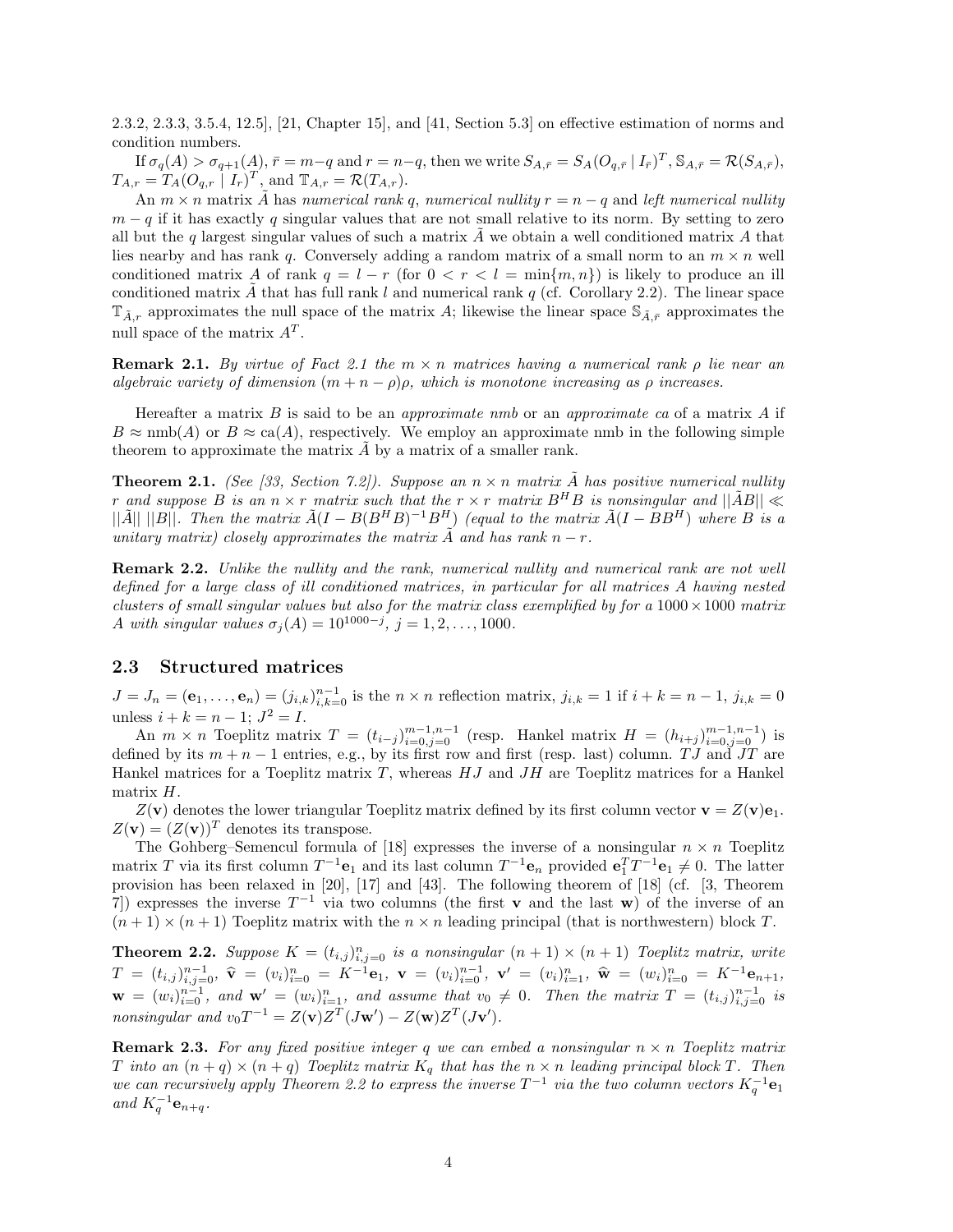2.3.2, 2.3.3, 3.5.4, 12.5], [21, Chapter 15], and [41, Section 5.3] on effective estimation of norms and condition numbers.

If  $\sigma_q(A) > \sigma_{q+1}(A)$ ,  $\bar{r} = m-q$  and  $r = n-q$ , then we write  $S_{A,\bar{r}} = S_A(O_{q,\bar{r}} | I_{\bar{r}})^T$ ,  $S_{A,\bar{r}} = \mathcal{R}(S_{A,\bar{r}})$ ,  $T_{A,r} = T_A(O_{q,r} | I_r)^T$ , and  $T_{A,r} = \mathcal{R}(T_{A,r})$ .

An  $m \times n$  matrix A has *numerical rank* q, *numerical nullity*  $r = n - q$  and *left numerical nullity*  $m - q$  if it has exactly q singular values that are not small relative to its norm. By setting to zero all but the *q* largest singular values of such a matrix  $\vec{A}$  we obtain a well conditioned matrix  $\vec{A}$  that lies nearby and has rank *q*. Conversely adding a random matrix of a small norm to an  $m \times n$  well conditioned matrix *A* of rank  $q = l - r$  (for  $0 < r < l = \min\{m, n\}$ ) is likely to produce an ill conditioned matrix  $\hat{A}$  that has full rank *l* and numerical rank *q* (cf. Corollary 2.2). The linear space  $T_{\tilde{A}_r}$  approximates the null space of the matrix A; likewise the linear space  $S_{\tilde{A}_r}$  approximates the null space of the matrix *A<sup>T</sup>* .

**Remark 2.1.** *By virtue of Fact 2.1 the m* × *n matrices having a numerical rank ρ lie near an algebraic variety of dimension*  $(m + n - \rho)\rho$ *, which is monotone increasing as*  $\rho$  *increases.* 

Hereafter a matrix *B* is said to be an *approximate nmb* or an *approximate ca* of a matrix *A* if  $B \approx \text{nmb}(A)$  or  $B \approx \text{ca}(A)$ , respectively. We employ an approximate nmb in the following simple theorem to approximate the matrix *A* by a matrix of a smaller rank.

**Theorem 2.1.** *(See [33, Section 7.2]). Suppose an*  $n \times n$  *matrix*  $\tilde{A}$  *has positive numerical nullity r* and suppose *B* is an  $n \times r$  *matrix* such that the  $r \times r$  *matrix*  $B^H B$  is nonsingular and  $||\tilde{A}B|| \ll$  $||\tilde{A}|| ||B||$ . Then the matrix  $\tilde{A}(I - B(B^HB)^{-1}B^H)$  (equal to the matrix  $\tilde{A}(I - BB^H)$ ) where B is a *unitary matrix) closely approximates the matrix*  $\tilde{A}$  *and has rank*  $n - r$ .

**Remark 2.2.** *Unlike the nullity and the rank, numerical nullity and numerical rank are not well defined for a large class of ill conditioned matrices, in particular for all matrices A having nested clusters of small singular values but also for the matrix class exemplified by for a*  $1000 \times 1000$  *matrix A with singular values*  $\sigma_j(A) = 10^{1000-j}$ ,  $j = 1, 2, ..., 1000$ .

# **2.3 Structured matrices**

 $J = J_n = (e_1, \ldots, e_n) = (j_{i,k})_{i,k=0}^{n-1}$  is the  $n \times n$  reflection matrix,  $j_{i,k} = 1$  if  $i + k = n - 1$ ,  $j_{i,k} = 0$ unless  $i + k = n - 1$ ;  $J^2 = I$ .

An  $m \times n$  Toeplitz matrix  $T = (t_{i-j})_{i=0,j=0}^{m-1,n-1}$  (resp. Hankel matrix  $H = (h_{i+j})_{i=0,j=0}^{m-1,n-1}$ ) is defined by its  $m + n - 1$  entries, e.g., by its first row and first (resp. last) column. *TJ* and *JT* are Hankel matrices for a Toeplitz matrix *T*, whereas *HJ* and *JH* are Toeplitz matrices for a Hankel matrix *H*.

 $Z(\mathbf{v})$  denotes the lower triangular Toeplitz matrix defined by its first column vector  $\mathbf{v} = Z(\mathbf{v})\mathbf{e}_1$ .  $Z(\mathbf{v})=(Z(\mathbf{v}))^T$  denotes its transpose.

The Gohberg–Semencul formula of [18] expresses the inverse of a nonsingular  $n \times n$  Toeplitz matrix *T* via its first column  $T^{-1}\mathbf{e}_1$  and its last column  $T^{-1}\mathbf{e}_n$  provided  $\mathbf{e}_1^T T^{-1}\mathbf{e}_1 \neq 0$ . The latter provision has been relaxed in [20], [17] and [43]. The following theorem of [18] (cf. [3, Theorem 7) expresses the inverse  $T^{-1}$  via two columns (the first **v** and the last **w**) of the inverse of an  $(n+1) \times (n+1)$  Toeplitz matrix with the  $n \times n$  leading principal (that is northwestern) block *T*.

**Theorem 2.2.** Suppose  $K = (t_{i,j})_{i,j=0}^n$  is a nonsingular  $(n + 1) \times (n + 1)$  Toeplitz matrix, write  $T = (t_{i,j})_{i,j=0}^{n-1}, \; \widehat{\mathbf{v}} = (v_i)_{i=0}^n = K^{-1} \mathbf{e}_1, \; \mathbf{v} = (v_i)_{i=0}^{n-1}, \; \mathbf{v}' = (v_i)_{i=1}^n, \; \widehat{\mathbf{w}} = (w_i)_{i=0}^n = K^{-1} \mathbf{e}_{n+1},$  $\mathbf{w} = (w_i)_{i=0}^{n-1}$ , and  $\mathbf{w}' = (w_i)_{i=1}^n$ , and assume that  $v_0 \neq 0$ . Then the matrix  $T = (t_{i,j})_{i,j=0}^{n-1}$  is *nonsingular and*  $v_0T^{-1} = Z(\mathbf{v})Z^T(J\mathbf{w}') - Z(\mathbf{w})Z^T(J\mathbf{v}')$ .

**Remark 2.3.** For any fixed positive integer q we can embed a nonsingular  $n \times n$  Toeplitz matrix *T into an*  $(n+q) \times (n+q)$  *Toeplitz matrix*  $K_q$  *that has the*  $n \times n$  *leading principal block T. Then we can recursively apply Theorem 2.2 to express the inverse*  $T^{-1}$  *via the two column vectors*  $K_q^{-1}$ **e**<sub>1</sub>  $and K<sub>a</sub><sup>-1</sup>**e**<sub>n+q</sub>.$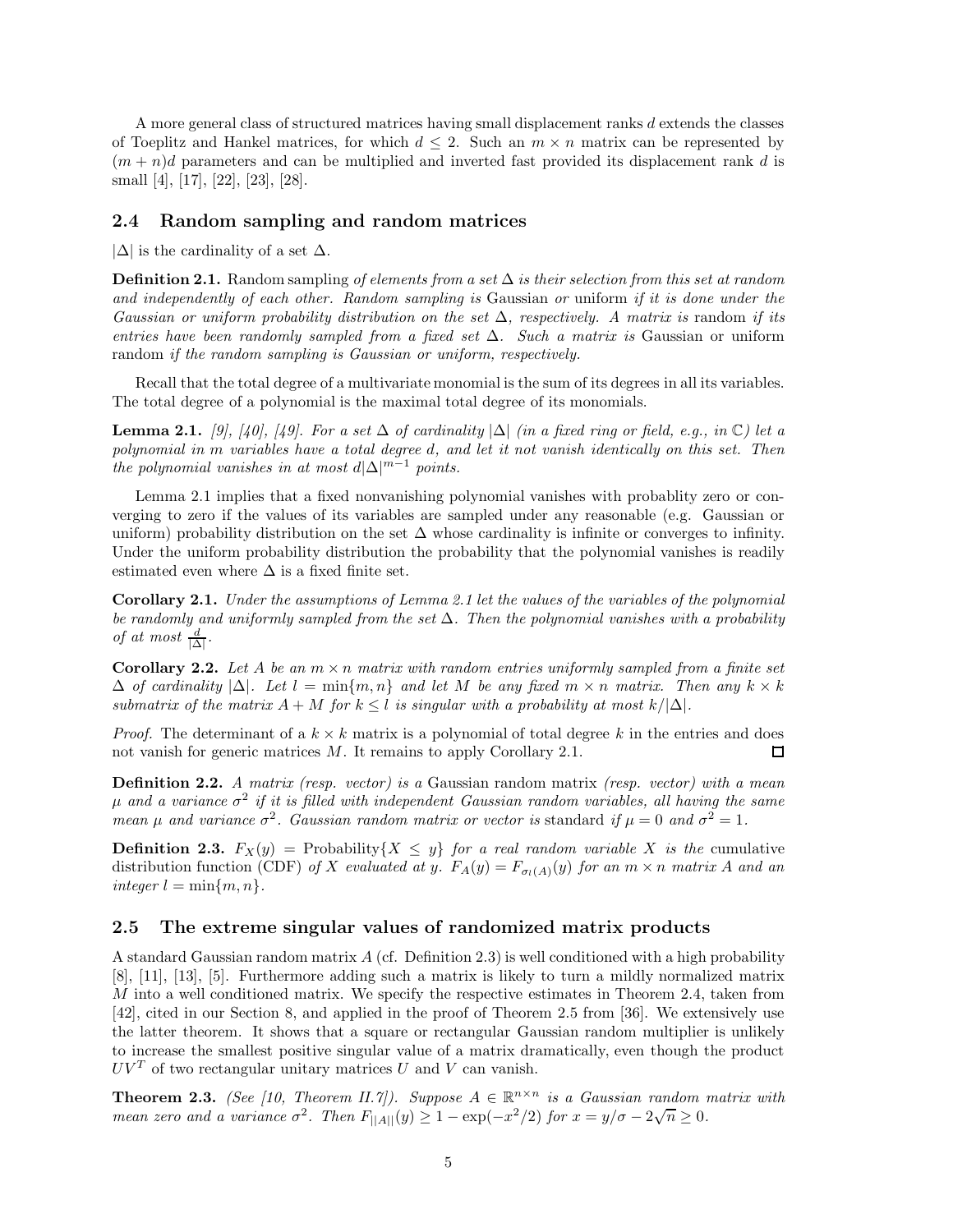A more general class of structured matrices having small displacement ranks *d* extends the classes of Toeplitz and Hankel matrices, for which  $d \leq 2$ . Such an  $m \times n$  matrix can be represented by  $(m + n)d$  parameters and can be multiplied and inverted fast provided its displacement rank *d* is small [4], [17], [22], [23], [28].

## **2.4 Random sampling and random matrices**

 $|\Delta|$  is the cardinality of a set  $\Delta$ .

**Definition 2.1.** Random sampling *of elements from a set* ∆ *is their selection from this set at random and independently of each other. Random sampling is* Gaussian *or* uniform *if it is done under the Gaussian or uniform probability distribution on the set*  $\Delta$ *, respectively. A matrix is random if its entries have been randomly sampled from a fixed set* ∆*. Such a matrix is* Gaussian or uniform random *if the random sampling is Gaussian or uniform, respectively.*

Recall that the total degree of a multivariate monomial is the sum of its degrees in all its variables. The total degree of a polynomial is the maximal total degree of its monomials.

**Lemma 2.1.** *[9], [40], [49]. For a set*  $\Delta$  *of cardinality*  $|\Delta|$  *(in a fixed ring or field, e.g., in*  $\mathbb{C}$ *) let a polynomial in m variables have a total degree d, and let it not vanish identically on this set. Then the polynomial vanishes in at most*  $d|\Delta|^{m-1}$  *points.* 

Lemma 2.1 implies that a fixed nonvanishing polynomial vanishes with probablity zero or converging to zero if the values of its variables are sampled under any reasonable (e.g. Gaussian or uniform) probability distribution on the set  $\Delta$  whose cardinality is infinite or converges to infinity. Under the uniform probability distribution the probability that the polynomial vanishes is readily estimated even where  $\Delta$  is a fixed finite set.

**Corollary 2.1.** *Under the assumptions of Lemma 2.1 let the values of the variables of the polynomial be randomly and uniformly sampled from the set* ∆*. Then the polynomial vanishes with a probability of at most*  $\frac{d}{|\Delta|}$ *.* 

**Corollary 2.2.** Let A be an  $m \times n$  matrix with random entries uniformly sampled from a finite set  $\Delta$  *of cardinality*  $|\Delta|$ *. Let*  $l = \min\{m, n\}$  *and let M be any fixed*  $m \times n$  *matrix. Then any*  $k \times k$ *submatrix of the matrix*  $A + M$  *for*  $k \leq l$  *is singular with a probability at most*  $k/|\Delta|$ *.* 

*Proof.* The determinant of a  $k \times k$  matrix is a polynomial of total degree k in the entries and does not vanish for generic matrices *M*. It remains to apply Corollary 2.1.  $\Box$ 

**Definition 2.2.** *A matrix (resp. vector) is a* Gaussian random matrix *(resp. vector) with a mean µ and a variance σ*<sup>2</sup> *if it is filled with independent Gaussian random variables, all having the same mean*  $\mu$  *and variance*  $\sigma^2$ *. Gaussian random matrix or vector is* standard *if*  $\mu = 0$  *and*  $\sigma^2 = 1$ *.* 

**Definition 2.3.**  $F_X(y) = \text{Probability}\{X \leq y\}$  *for a real random variable X is the* cumulative distribution function (CDF) of X evaluated at y.  $F_A(y) = F_{\sigma_l(A)}(y)$  for an  $m \times n$  matrix A and an  $integer l = min{m, n}.$ 

#### **2.5 The extreme singular values of randomized matrix products**

A standard Gaussian random matrix *A* (cf. Definition 2.3) is well conditioned with a high probability [8], [11], [13], [5]. Furthermore adding such a matrix is likely to turn a mildly normalized matrix *M* into a well conditioned matrix. We specify the respective estimates in Theorem 2.4, taken from [42], cited in our Section 8, and applied in the proof of Theorem 2.5 from [36]. We extensively use the latter theorem. It shows that a square or rectangular Gaussian random multiplier is unlikely to increase the smallest positive singular value of a matrix dramatically, even though the product  $UV<sup>T</sup>$  of two rectangular unitary matrices *U* and *V* can vanish.

**Theorem 2.3.** *(See [10, Theorem II.7]). Suppose*  $A \in \mathbb{R}^{n \times n}$  *is a Gaussian random matrix with mean zero and a variance*  $\sigma^2$ *. Then*  $F_{\vert A \vert \vert}(y) \geq 1 - \exp(-x^2/2)$  for  $x = y/\sigma - 2\sqrt{n} \geq 0$ .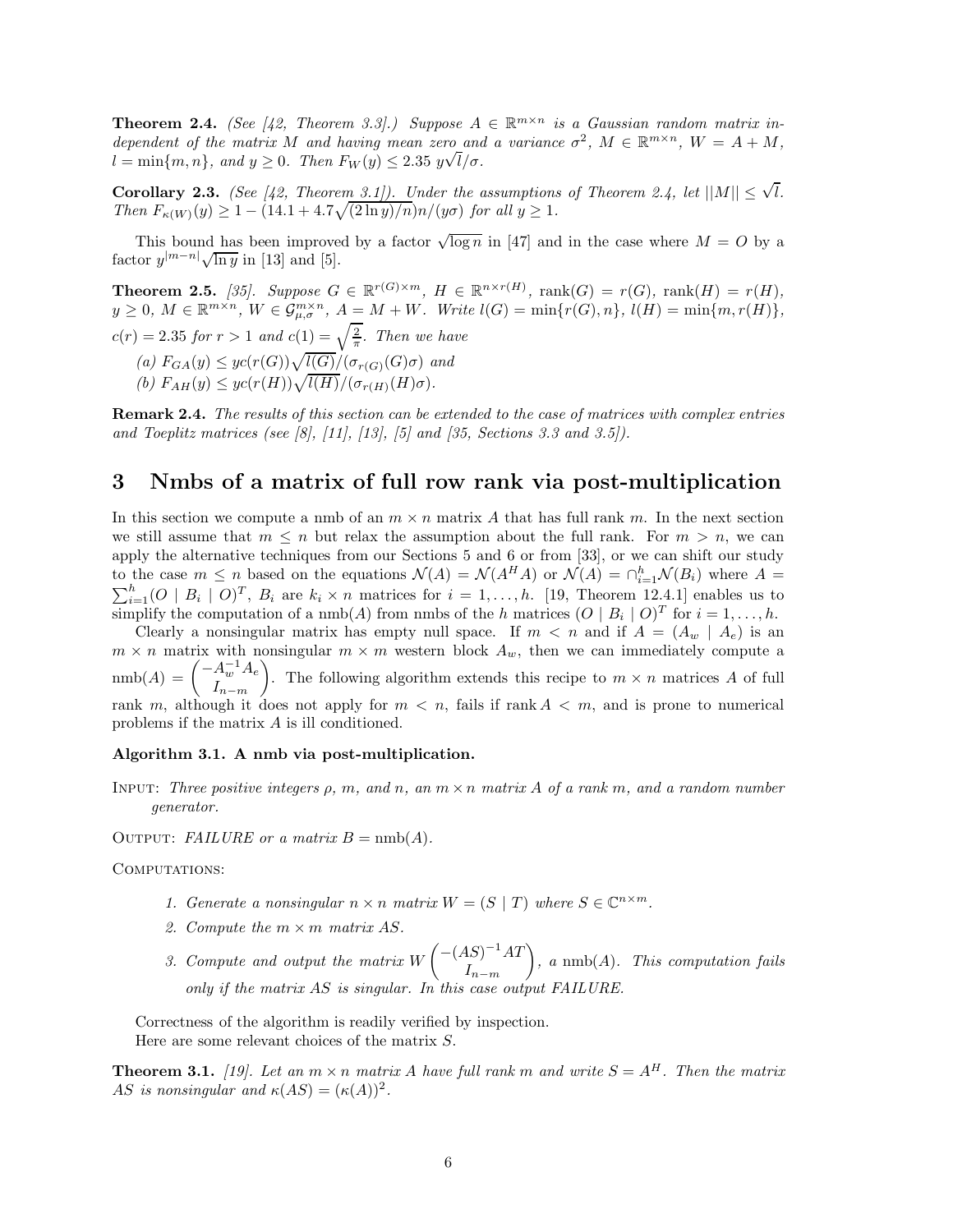**Theorem 2.4.** *(See [42, Theorem 3.3].)* Suppose  $A \in \mathbb{R}^{m \times n}$  is a Gaussian random matrix in*dependent of the matrix M and having mean zero and a variance*  $\sigma^2$ ,  $M \in \mathbb{R}^{m \times n}$ ,  $W = A + M$ ,  $l = \min\{m, n\}$ *, and*  $y \geq 0$ *. Then*  $F_W(y) \leq 2.35$   $y\sqrt{l/\sigma}$ *.* 

**Corollary 2.3.** *(See [42, Theorem 3.1]). Under the assumptions of Theorem 2.4, let*  $||M|| \leq \sqrt{l}$ *. Then*  $F_{\kappa(W)}(y) \geq 1 - (14.1 + 4.7\sqrt{(2 \ln y)/n})n/(y\sigma)$  *for all*  $y \geq 1$ *.* 

This bound has been improved by a factor  $\sqrt{\log n}$  in [47] and in the case where  $M = O$  by a  $\frac{1}{2} \text{ and } \frac{1}{2} \text{ and } \frac{1}{2} \text{ and } \frac{1}{2}$ .

**Theorem 2.5.** [35]. Suppose  $G \in \mathbb{R}^{r(G)\times m}$ ,  $H \in \mathbb{R}^{n \times r(H)}$ , rank $(G) = r(G)$ , rank $(H) = r(H)$ ,  $y \geq 0$ ,  $M \in \mathbb{R}^{m \times n}$ ,  $W \in \mathcal{G}_{\mu,\sigma}^{m \times n}$ ,  $A = M + W$ . Write  $l(G) = \min\{r(G),n\}$ ,  $l(H) = \min\{m,r(H)\}$ ,  $c(r) = 2.35$  *for*  $r > 1$  *and*  $c(1) = \sqrt{\frac{2}{\pi}}$ *. Then we have*  $(a)$   $F_{GA}(y) \leq ye(r(G))\sqrt{l(G)}/(\sigma_{r(G)}(G)\sigma)$  *and*  $f(b)$   $F_{AH}(y) \leq yc(r(H))\sqrt{l(H)}/(\sigma_{r(H)}(H)\sigma).$ 

**Remark 2.4.** *The results of this section can be extended to the case of matrices with complex entries and Toeplitz matrices (see [8], [11], [13], [5] and [35, Sections 3.3 and 3.5]).*

# **3 Nmbs of a matrix of full row rank via post-multiplication**

In this section we compute a nmb of an  $m \times n$  matrix A that has full rank  $m$ . In the next section we still assume that  $m \leq n$  but relax the assumption about the full rank. For  $m > n$ , we can apply the alternative techniques from our Sections 5 and 6 or from [33], or we can shift our study to the case  $m \leq n$  based on the equations  $\mathcal{N}(A) = \mathcal{N}(A^H A)$  or  $\mathcal{N}(A) = \bigcap_{i=1}^h \mathcal{N}(B_i)$  where  $A =$ to the case  $m \le n$  based on the equations  $\mathcal{N}(A) = \mathcal{N}(A^H A)$  or  $\mathcal{N}(A) = \bigcap_{i=1}^n \mathcal{N}(B_i)$  where  $A = \sum_{i=1}^n (O \mid B_i \mid O)^T$ ,  $B_i$  are  $k_i \times n$  matrices for  $i = 1, ..., h$ . [19, Theorem 12.4.1] enables us to simplify the computation of a nmb(*A*) from nmbs of the *h* matrices  $(O | B_i | O)^T$  for  $i = 1, ..., h$ .

Clearly a nonsingular matrix has empty null space. If  $m < n$  and if  $A = (A_w \mid A_e)$  is an  $m \times n$  matrix with nonsingular  $m \times m$  western block  $A_w$ , then we can immediately compute a  $\text{nmb}(A) = \begin{pmatrix} -A_w^{-1}A_e \\ I \end{pmatrix}$ *I<sup>n</sup>*−*<sup>m</sup>* ). The following algorithm extends this recipe to  $m \times n$  matrices *A* of full rank *m*, although it does not apply for  $m < n$ , fails if rank  $A < m$ , and is prone to numerical problems if the matrix *A* is ill conditioned.

#### **Algorithm 3.1. A nmb via post-multiplication.**

Input: *Three positive integers ρ, m, and n, an m* × *n matrix A of a rank m, and a random number generator.*

OUTPUT: *FAILURE or a matrix*  $B = \text{nmb}(A)$ .

#### COMPUTATIONS:

- 1. Generate a nonsingular  $n \times n$  matrix  $W = (S | T)$  where  $S \in \mathbb{C}^{n \times m}$ .
- *2. Compute the m* × *m matrix AS.*
- *3. Compute and output the matrix W* −(*AS*)−<sup>1</sup>*AT I<sup>n</sup>*−*<sup>m</sup>* - *, a* nmb(*A*)*. This computation fails only if the matrix AS is singular. In this case output FAILURE*

Correctness of the algorithm is readily verified by inspection. Here are some relevant choices of the matrix *S*.

**Theorem 3.1.** [19]. Let an  $m \times n$  matrix A have full rank  $m$  and write  $S = A<sup>H</sup>$ . Then the matrix *AS is nonsingular and*  $\kappa(AS) = (\kappa(A))^2$ .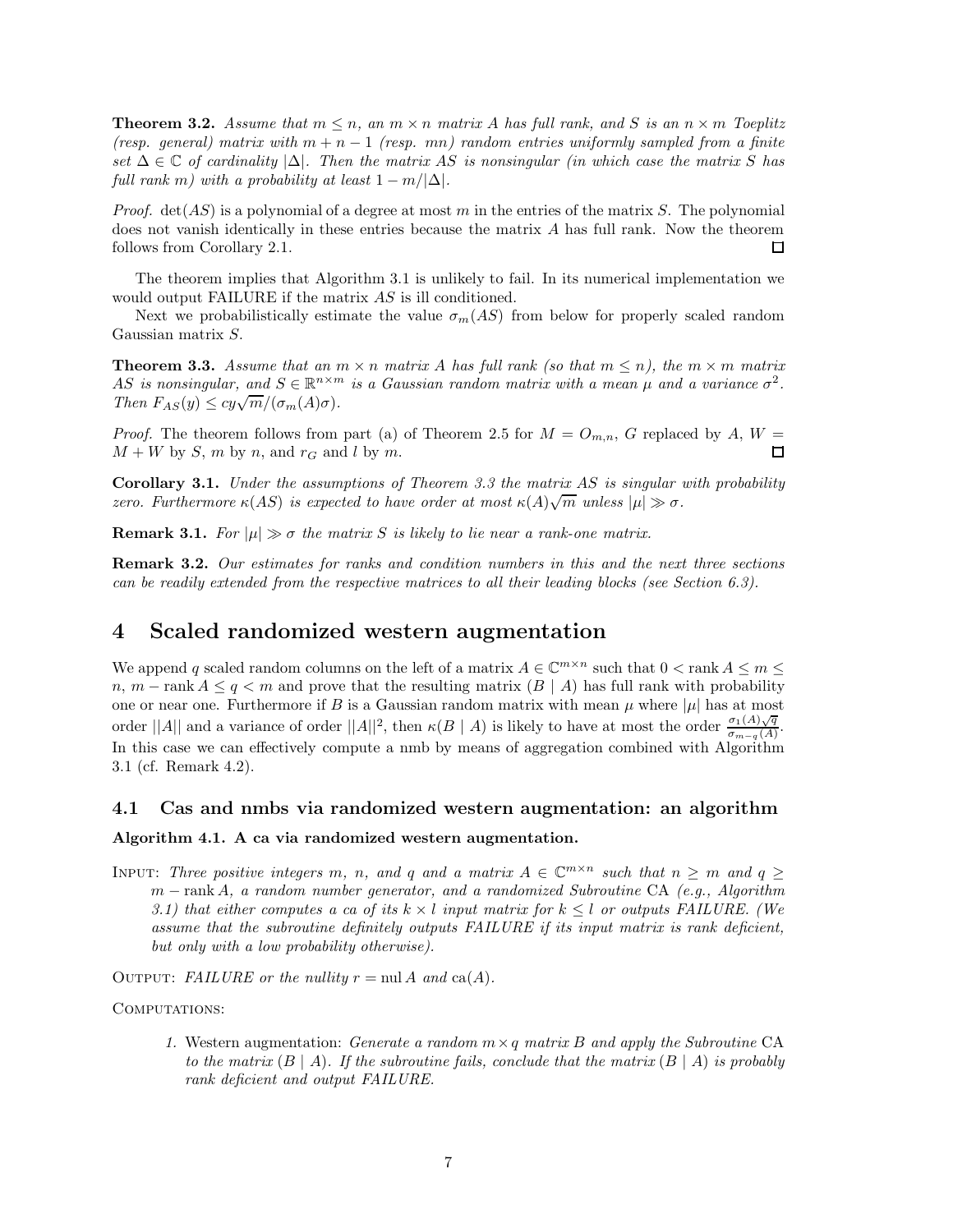**Theorem 3.2.** *Assume that*  $m \leq n$ *, an*  $m \times n$  *matrix A has full rank, and S is an*  $n \times m$  *Toeplitz (resp. general) matrix with*  $m + n - 1$  *(resp. mn) random entries uniformly sampled from a finite set* ∆ ∈ C *of cardinality* |∆|*. Then the matrix AS is nonsingular (in which case the matrix S has full rank m)* with a probability at least  $1 - m/|\Delta|$ *.* 

*Proof.* det(*AS*) is a polynomial of a degree at most *m* in the entries of the matrix *S*. The polynomial does not vanish identically in these entries because the matrix *A* has full rank. Now the theorem follows from Corollary 2.1. 口

The theorem implies that Algorithm 3.1 is unlikely to fail. In its numerical implementation we would output FAILURE if the matrix *AS* is ill conditioned.

Next we probabilistically estimate the value  $\sigma_m(AS)$  from below for properly scaled random Gaussian matrix *S*.

**Theorem 3.3.** *Assume that an*  $m \times n$  *matrix A has full rank (so that*  $m \leq n$ ), *the*  $m \times m$  *matrix AS* is nonsingular, and  $S \in \mathbb{R}^{n \times m}$  is a Gaussian random matrix with a mean  $\mu$  and a variance  $\sigma^2$ .  $\text{Then } F_{AS}(y) \leq cy\sqrt{m}/(\sigma_m(A)\sigma).$ 

*Proof.* The theorem follows from part (a) of Theorem 2.5 for  $M = O_{m,n}$ , *G* replaced by *A*,  $W =$  $M + W$  by *S*, *m* by *n*, and  $r_G$  and *l* by *m*.  $\Box$ 

**Corollary 3.1.** *Under the assumptions of Theorem 3.3 the matrix AS is singular with probability zero. Furthermore*  $\kappa(AS)$  *is expected to have order at most*  $\kappa(A)\sqrt{m}$  *unless*  $|\mu| \gg \sigma$ .

**Remark 3.1.** For  $|\mu| \gg \sigma$  the matrix *S* is likely to lie near a rank-one matrix.

**Remark 3.2.** *Our estimates for ranks and condition numbers in this and the next three sections can be readily extended from the respective matrices to all their leading blocks (see Section 6.3).*

# **4 Scaled randomized western augmentation**

We append *q* scaled random columns on the left of a matrix  $A \in \mathbb{C}^{m \times n}$  such that  $0 < \text{rank } A \le m \le$ *n*, *m* − rank *A*  $\leq$  *q*  $\lt$  *m* and prove that the resulting matrix (*B* | *A*) has full rank with probability one or near one. Furthermore if *B* is a Gaussian random matrix with mean  $\mu$  where  $|\mu|$  has at most order  $||A||$  and a variance of order  $||A||^2$ , then  $\kappa(B \mid A)$  is likely to have at most the order  $\frac{\sigma_1(A)\sqrt{q}}{\sigma_{m-q}(A)}$ . In this case we can effectively compute a nmb by means of aggregation combined with Algorithm 3.1 (cf. Remark 4.2).

#### **4.1 Cas and nmbs via randomized western augmentation: an algorithm**

## **Algorithm 4.1. A ca via randomized western augmentation.**

INPUT: Three positive integers *m*, *n*, and *q* and *a* matrix  $A \in \mathbb{C}^{m \times n}$  such that  $n \geq m$  and  $q \geq$ *m* − rank *A, a random number generator, and a randomized Subroutine* CA *(e.g., Algorithm 3.1) that either computes a ca of its*  $k \times l$  *input matrix for*  $k \leq l$  *or outputs FAILURE. (We assume that the subroutine definitely outputs FAILURE if its input matrix is rank deficient, but only with a low probability otherwise).*

OUTPUT: *FAILURE* or the nullity  $r = \text{null } A$  and  $\text{ca}(A)$ .

COMPUTATIONS:

*1.* Western augmentation: *Generate a random m*×*q matrix B and apply the Subroutine* CA *to the matrix*  $(B | A)$ *. If the subroutine fails, conclude that the matrix*  $(B | A)$  *is probably rank deficient and output FAILURE.*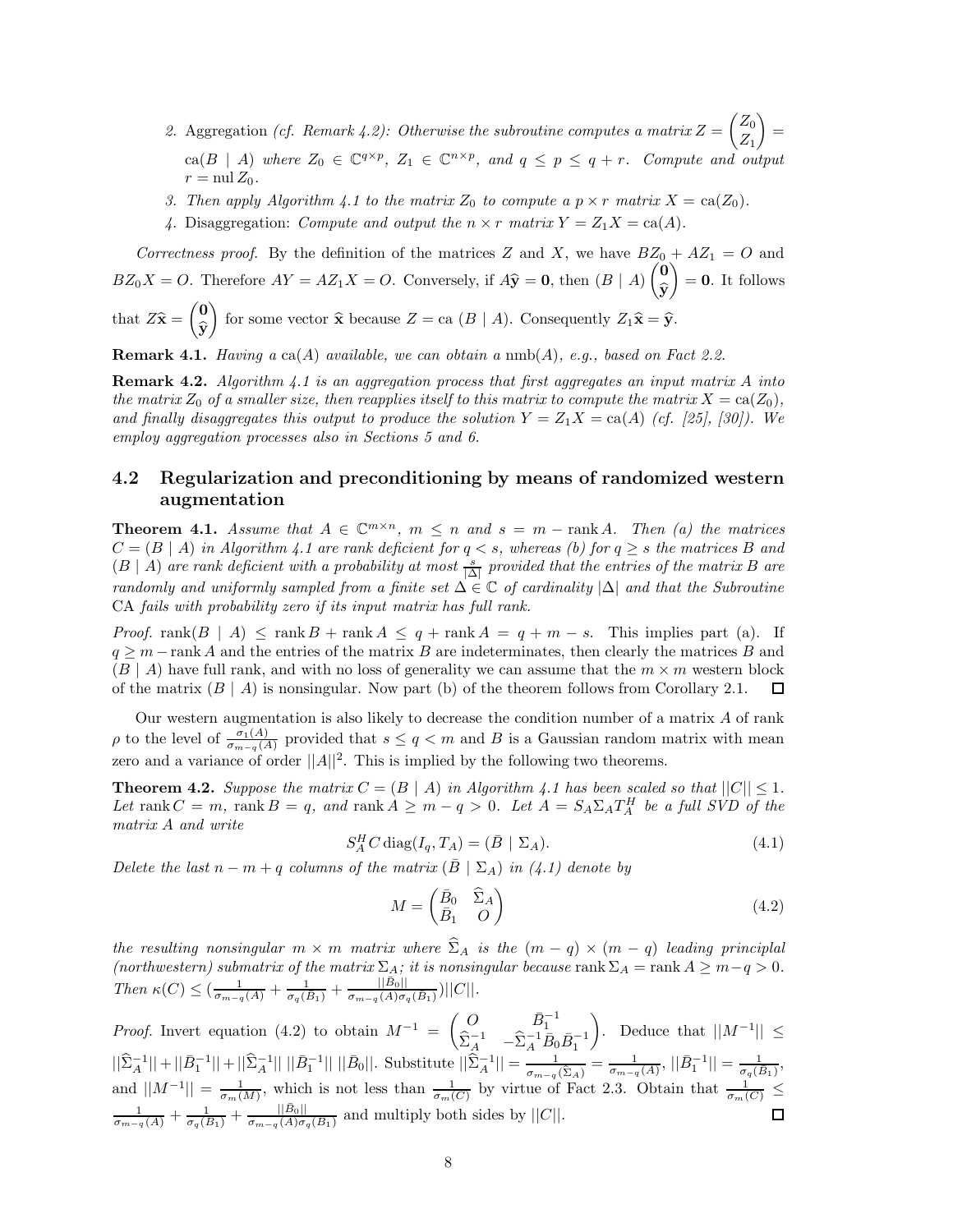- 2. Aggregation *(cf. Remark 4.2): Otherwise the subroutine computes a matrix*  $Z =$  *Z*0 *Z*1 -= ca( $B \mid A$ ) where  $Z_0 \in \mathbb{C}^{q \times p}$ ,  $Z_1 \in \mathbb{C}^{n \times p}$ , and  $q \leq p \leq q + r$ . Compute and output  $r = \text{null } Z_0$ .
- *3. Then apply Algorithm 4.1 to the matrix*  $Z_0$  *to compute a*  $p \times r$  *matrix*  $X = \text{ca}(Z_0)$ *.*
- 4. Disaggregation: *Compute and output the*  $n \times r$  *matrix*  $Y = Z_1 X = ca(A)$ *.*

*Correctness proof.* By the definition of the matrices *Z* and *X*, we have  $BZ_0 + AZ_1 = O$  and  $BZ_0X = O$ . Therefore  $AY = AZ_1X = O$ . Conversely, if  $A\hat{y} = 0$ , then  $(B | A)$  **0 y**  $\Big) = 0.$  It follows **0**

that  $Z\hat{\mathbf{x}} =$ **y** for some vector  $\hat{\mathbf{x}}$  because  $Z = \text{ca}(B \mid A)$ . Consequently  $Z_1 \hat{\mathbf{x}} = \hat{\mathbf{y}}$ .

**Remark 4.1.** *Having a* ca(*A*) *available, we can obtain a* nmb(*A*)*, e.g., based on Fact 2.2.*

**Remark 4.2.** *Algorithm 4.1 is an aggregation process that first aggregates an input matrix A into the matrix*  $Z_0$  *of a smaller size, then reapplies itself to this matrix to compute the matrix*  $X = \text{ca}(Z_0)$ *, and finally disaggregates this output to produce the solution*  $Y = Z_1 X = ca(A)$  (cf. [25], [30]). We *employ aggregation processes also in Sections 5 and 6.*

# **4.2 Regularization and preconditioning by means of randomized western augmentation**

**Theorem 4.1.** *Assume that*  $A \in \mathbb{C}^{m \times n}$ ,  $m \leq n$  and  $s = m - \text{rank } A$ . Then (a) the matrices  $C = (B | A)$  *in Algorithm 4.1 are rank deficient for*  $q < s$ *, whereas (b) for*  $q \geq s$  *the matrices B and*  $(B | A)$  *are rank deficient with a probability at most*  $\frac{s}{|A|}$  *provided that the entries of the matrix B are randomly and uniformly sampled from a finite set* ∆ ∈ C *of cardinality* |∆| *and that the Subroutine* CA *fails with probability zero if its input matrix has full rank.*

*Proof.* rank $(B \mid A) \leq \text{rank } B + \text{rank } A \leq q + \text{rank } A = q + m - s$ . This implies part (a). If *q* ≥ *m* − rank *A* and the entries of the matrix *B* are indeterminates, then clearly the matrices *B* and  $(B \mid A)$  have full rank, and with no loss of generality we can assume that the  $m \times m$  western block of the matrix  $(B \mid A)$  is nonsingular. Now part (b) of the theorem follows from Corollary 2.1. □

Our western augmentation is also likely to decrease the condition number of a matrix *A* of rank *ρ* to the level of  $\frac{\sigma_1(A)}{\sigma_{m-q}(A)}$  provided that  $s \leq q < m$  and *B* is a Gaussian random matrix with mean zero and a variance of order  $||A||^2$ . This is implied by the following two theorems.

**Theorem 4.2.** *Suppose the matrix*  $C = (B \mid A)$  *in Algorithm 4.1 has been scaled so that*  $||C|| \leq 1$ *. Let* rank  $C = m$ , rank  $B = q$ , and rank  $A \geq m - q > 0$ . Let  $A = S_A \Sigma_A T_A^H$  be a full SVD of the *matrix A and write*

$$
S_A^H C \operatorname{diag}(I_q, T_A) = (\bar{B} \mid \Sigma_A). \tag{4.1}
$$

*Delete the last*  $n - m + q$  *columns of the matrix*  $(B | \Sigma_A)$  *in (4.1) denote by* 

$$
M = \begin{pmatrix} \bar{B}_0 & \hat{\Sigma}_A \\ \bar{B}_1 & O \end{pmatrix} \tag{4.2}
$$

*the resulting nonsingular*  $m \times m$  *matrix where*  $\hat{\Sigma}_A$  *is the*  $(m - q) \times (m - q)$  *leading principlal (northwestern) submatrix of the matrix*  $\Sigma_A$ *; it is nonsingular because* rank  $\Sigma_A = \text{rank } A \geq m - q > 0$ .  $Then \ \kappa(C) \leq \left( \frac{1}{\sigma_{m-q}(A)} + \frac{1}{\sigma_q(B_1)} + \frac{||\bar{B}_0||}{\sigma_{m-q}(A)\sigma_q(B_1)} \right) ||C||.$ 

*Proof.* Invert equation (4.2) to obtain  $M^{-1} = \begin{pmatrix} O & \bar{B}_1^{-1} \\ \hat{\Sigma}_A^{-1} & -\hat{\Sigma}_A^{-1} \bar{B}_0 \bar{B}_1^{-1} \end{pmatrix}$ ). Deduce that  $||M^{-1}||$  ≤  $||\hat{\Sigma}_A^{-1}|| + ||\bar{B}_1^{-1}|| + ||\hat{\Sigma}_A^{-1}|| ||\bar{B}_1^{-1}|| ||\bar{B}_0||$ . Substitute  $||\hat{\Sigma}_A^{-1}|| = \frac{1}{\sigma_{m-q}(\hat{\Sigma}_A)} = \frac{1}{\sigma_{m-q}(A)}, ||\bar{B}_1^{-1}|| = \frac{1}{\sigma_q(B_1)},$ and  $||M^{-1}|| = \frac{1}{\sigma_m(M)}$ , which is not less than  $\frac{1}{\sigma_m(C)}$  by virtue of Fact 2.3. Obtain that  $\frac{1}{\sigma_m(C)} \le$  $\frac{1}{\sigma_{m-q}(A)} + \frac{1}{\sigma_q(B_1)} + \frac{||\vec{B}_0||}{\sigma_{m-q}(A)\sigma_q(\vec{B}_1)}$  and multiply both sides by  $||C||$ . 口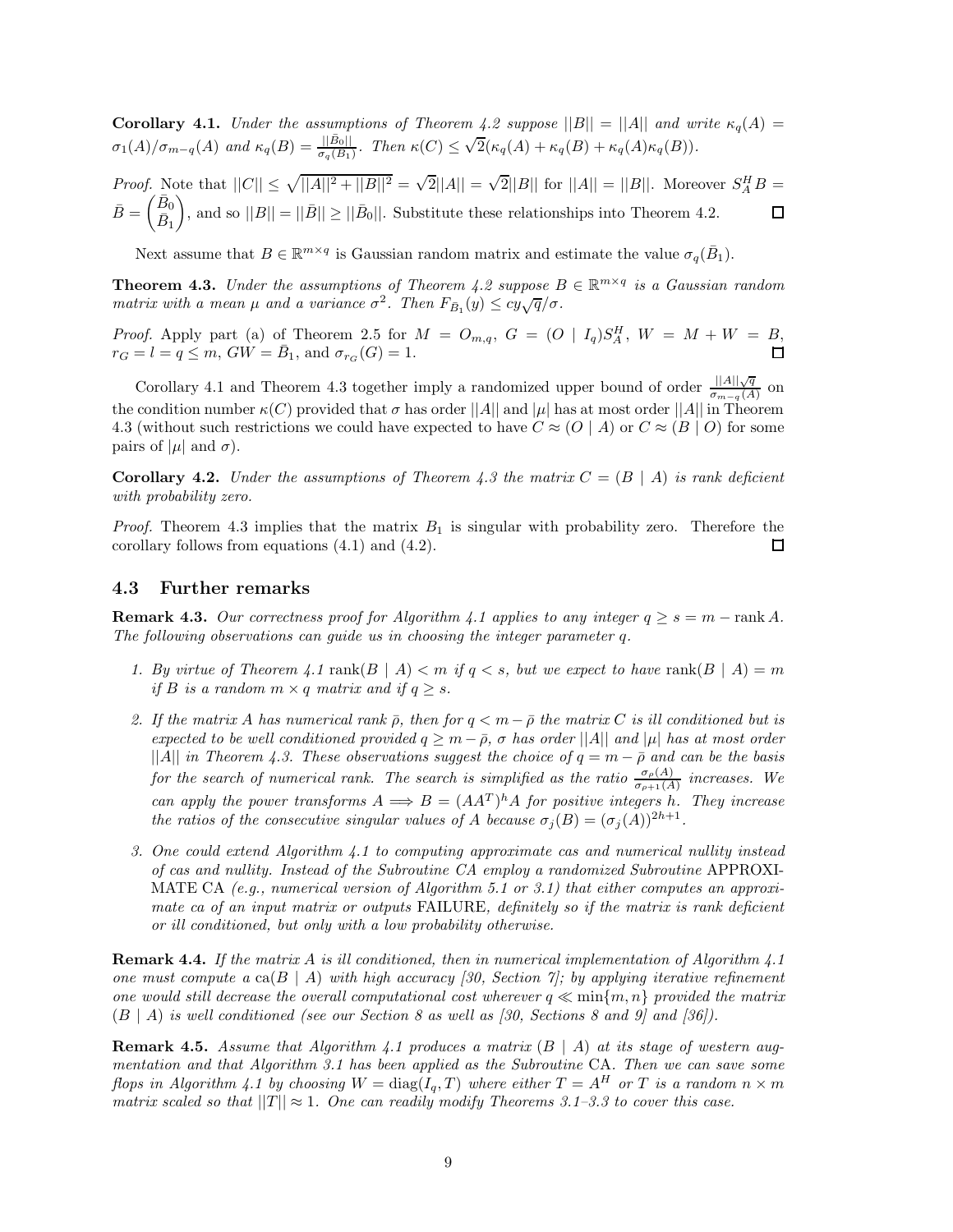**Corollary 4.1.** *Under the assumptions of Theorem 4.2 suppose*  $||B|| = ||A||$  *and write*  $\kappa_q(A) =$  $\sigma_1(A)/\sigma_{m-q}(A)$  and  $\kappa_q(B) = \frac{||\bar{B}_0||}{\sigma_q(B_1)}$ . Then  $\kappa(C) \leq \sqrt{2}(\kappa_q(A) + \kappa_q(B) + \kappa_q(A)\kappa_q(B)).$ 

*Proof.* Note that  $||C|| \le \sqrt{||A||^2 + ||B||^2} = \sqrt{2}||A|| = \sqrt{2}||B||$  for  $||A|| = ||B||$ . Moreover  $S_A^H B$  $\bar{B} = \begin{pmatrix} \bar{B}_0 \\ \bar{D} \end{pmatrix}$ ), and so  $||B|| = ||\overline{B}|| \ge ||\overline{B}_0||$ . Substitute these relationships into Theorem 4.2.  $\Box$  $\bar{B}_1$ 

Next assume that  $B \in \mathbb{R}^{m \times q}$  is Gaussian random matrix and estimate the value  $\sigma_q(\bar{B}_1)$ .

**Theorem 4.3.** *Under the assumptions of Theorem 4.2 suppose*  $B \in \mathbb{R}^{m \times q}$  *is a Gaussian random matrix with a mean*  $\mu$  *and a variance*  $\sigma^2$ *. Then*  $F_{\bar{B}_1}(y) \leq cy\sqrt{q}/\sigma$ *.* 

*Proof.* Apply part (a) of Theorem 2.5 for  $M = O_{m,q}$ ,  $G = (O | I_q)S_A^H$ ,  $W = M + W = B$ ,  $r_G = l = q \leq m$ ,  $GW = B_1$ , and  $\sigma_{r_G}(G) = 1$ .

Corollary 4.1 and Theorem 4.3 together imply a randomized upper bound of order  $\frac{||A||\sqrt{q}}{\sigma_{m-q}(A)}$  on the condition number  $\kappa(C)$  provided that  $\sigma$  has order  $||A||$  and  $|\mu|$  has at most order  $||A||$  in Theorem 4.3 (without such restrictions we could have expected to have  $C \approx (O | A)$  or  $C \approx (B | O)$  for some pairs of  $|\mu|$  and  $\sigma$ ).

**Corollary 4.2.** *Under the assumptions of Theorem 4.3 the matrix*  $C = (B | A)$  *is rank deficient with probability zero.*

*Proof.* Theorem 4.3 implies that the matrix *B*<sup>1</sup> is singular with probability zero. Therefore the corollary follows from equations (4.1) and (4.2). □

### **4.3 Further remarks**

**Remark 4.3.** *Our correctness proof for Algorithm 4.1 applies to any integer*  $q \geq s = m - \text{rank } A$ *. The following observations can guide us in choosing the integer parameter q.*

- *1. By virtue of Theorem 4.1* rank $(B \mid A) < m$  *if*  $q < s$ , but we expect to have rank $(B \mid A) = m$ *if B is a random*  $m \times q$  *matrix and if*  $q \geq s$ *.*
- 2. If the matrix *A* has numerical rank  $\bar{\rho}$ , then for  $q < m \bar{\rho}$  the matrix *C* is ill conditioned but is *expected to be well conditioned provided*  $q \geq m - \bar{\rho}$ ,  $\sigma$  *has order* ||A|| *and* | $\mu$ | *has at most order* ||A|| *in Theorem 4.3. These observations suggest the choice of*  $q = m - \bar{\rho}$  and can be the basis *for the search of numerical rank. The search is simplified as the ratio*  $\frac{\sigma_{\rho}(A)}{\sigma_{\rho+1}(A)}$  *increases.* We *can apply the power transforms*  $A \implies B = (AA^T)^h A$  *for positive integers h. They increase the ratios of the consecutive singular values of <i>A because*  $\sigma_j(B) = (\sigma_j(A))^{2h+1}$ .
- *3. One could extend Algorithm 4.1 to computing approximate cas and numerical nullity instead of cas and nullity. Instead of the Subroutine CA employ a randomized Subroutine* APPROXI-MATE CA *(e.g., numerical version of Algorithm 5.1 or 3.1) that either computes an approximate ca of an input matrix or outputs* FAILURE*, definitely so if the matrix is rank deficient or ill conditioned, but only with a low probability otherwise.*

**Remark 4.4.** *If the matrix A is ill conditioned, then in numerical implementation of Algorithm 4.1 one must compute a*  $ca(B \mid A)$  *with high accuracy [30, Section 7]; by applying iterative refinement one would still decrease the overall computational cost wherever*  $q \ll \min\{m, n\}$  *provided the matrix* (*B* | *A*) *is well conditioned (see our Section 8 as well as [30, Sections 8 and 9] and [36]).*

**Remark 4.5.** *Assume that Algorithm 4.1 produces a matrix* (*B* | *A*) *at its stage of western augmentation and that Algorithm 3.1 has been applied as the Subroutine* CA*. Then we can save some flops in Algorithm 4.1 by choosing*  $W = \text{diag}(I_q, T)$  *where either*  $T = A^H$  *or*  $T$  *is a random*  $n \times m$ *matrix scaled so that*  $||T|| \approx 1$ *. One can readily modify Theorems 3.1–3.3 to cover this case.*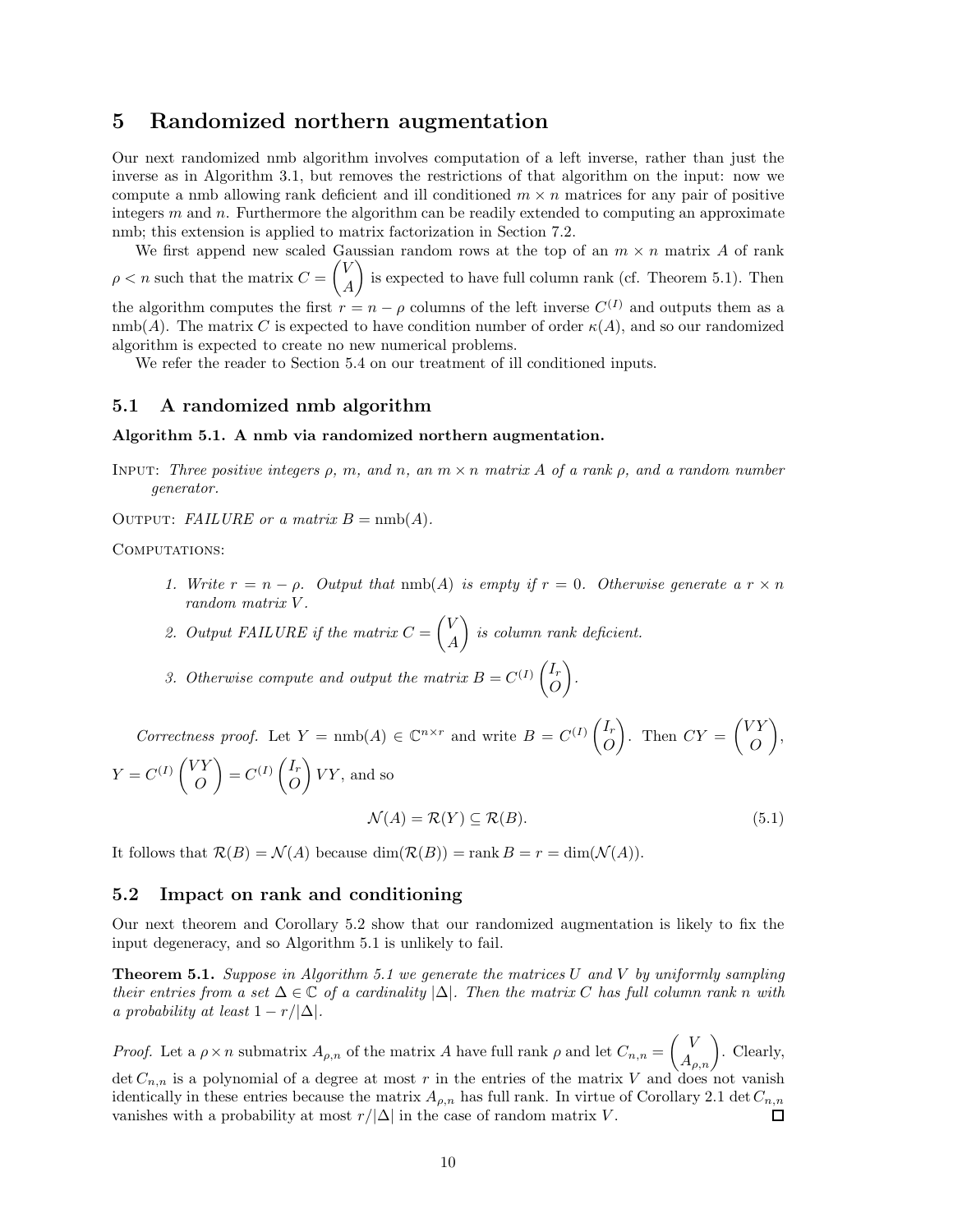# **5 Randomized northern augmentation**

Our next randomized nmb algorithm involves computation of a left inverse, rather than just the inverse as in Algorithm 3.1, but removes the restrictions of that algorithm on the input: now we compute a nmb allowing rank deficient and ill conditioned  $m \times n$  matrices for any pair of positive integers *m* and *n*. Furthermore the algorithm can be readily extended to computing an approximate nmb; this extension is applied to matrix factorization in Section 7.2.

We first append new scaled Gaussian random rows at the top of an  $m \times n$  matrix A of rank  $\rho < n$  such that the matrix  $C =$  $\sqrt{V}$ *A* is expected to have full column rank (cf. Theorem 5.1). Then the algorithm computes the first  $r = n - \rho$  columns of the left inverse  $C^{(I)}$  and outputs them as a  $\text{nmb}(A)$ . The matrix *C* is expected to have condition number of order  $\kappa(A)$ , and so our randomized algorithm is expected to create no new numerical problems.

We refer the reader to Section 5.4 on our treatment of ill conditioned inputs.

#### **5.1 A randomized nmb algorithm**

#### **Algorithm 5.1. A nmb via randomized northern augmentation.**

- Input: *Three positive integers ρ, m, and n, an m* × *n matrix A of a rank ρ, and a random number generator.*
- OUTPUT: *FAILURE or a matrix*  $B = \text{nmb}(A)$ .

COMPUTATIONS:

- *1. Write*  $r = n \rho$ *. Output that*  $\text{nmb}(A)$  *is empty if*  $r = 0$ *. Otherwise generate*  $a r \times n$ *random matrix V .*
- *2. Output FAILURE if the matrix C* =  $\sqrt{V}$ *A* - *is column rank deficient.*
- 3. Otherwise compute and output the matrix  $B = C^{(I)} \begin{pmatrix} I_r \\ O \end{pmatrix}$ *O* - *.*

*Correctness proof.* Let  $Y = \text{nmb}(A) \in \mathbb{C}^{n \times r}$  and write  $B = C^{(I)} \begin{pmatrix} I_r \\ O \end{pmatrix}$ *O* ). Then  $CY =$  $\sqrt{VY}$ *O* - ,  $Y = C^{(I)} \begin{pmatrix} VY \\ O \end{pmatrix}$ *O*  $\Big) = C^{(I)} \begin{pmatrix} I_r \\ O \end{pmatrix}$ *O*  $\bigg\} VY$ , and so

$$
\mathcal{N}(A) = \mathcal{R}(Y) \subseteq \mathcal{R}(B). \tag{5.1}
$$

It follows that  $\mathcal{R}(B) = \mathcal{N}(A)$  because  $\dim(\mathcal{R}(B)) = \text{rank } B = r = \dim(\mathcal{N}(A)).$ 

#### **5.2 Impact on rank and conditioning**

Our next theorem and Corollary 5.2 show that our randomized augmentation is likely to fix the input degeneracy, and so Algorithm 5.1 is unlikely to fail.

**Theorem 5.1.** *Suppose in Algorithm 5.1 we generate the matrices U and V by uniformly sampling their entries from a set*  $\Delta \in \mathbb{C}$  *of a cardinality*  $|\Delta|$ *. Then the matrix C has full column rank n with a probability at least*  $1 - r/|\Delta|$ *.* 

*Proof.* Let a  $\rho \times n$  submatrix  $A_{\rho,n}$  of the matrix *A* have full rank  $\rho$  and let  $C_{n,n} = \begin{pmatrix} V \\ A_{\rho,n} \end{pmatrix}$ . Clearly, det  $C_{n,n}$  is a polynomial of a degree at most r in the entries of the matrix V and does not vanish identically in these entries because the matrix  $A_{\rho,n}$  has full rank. In virtue of Corollary 2.1 det  $C_{n,n}$ vanishes with a probability at most  $r/|\Delta|$  in the case of random matrix *V*. П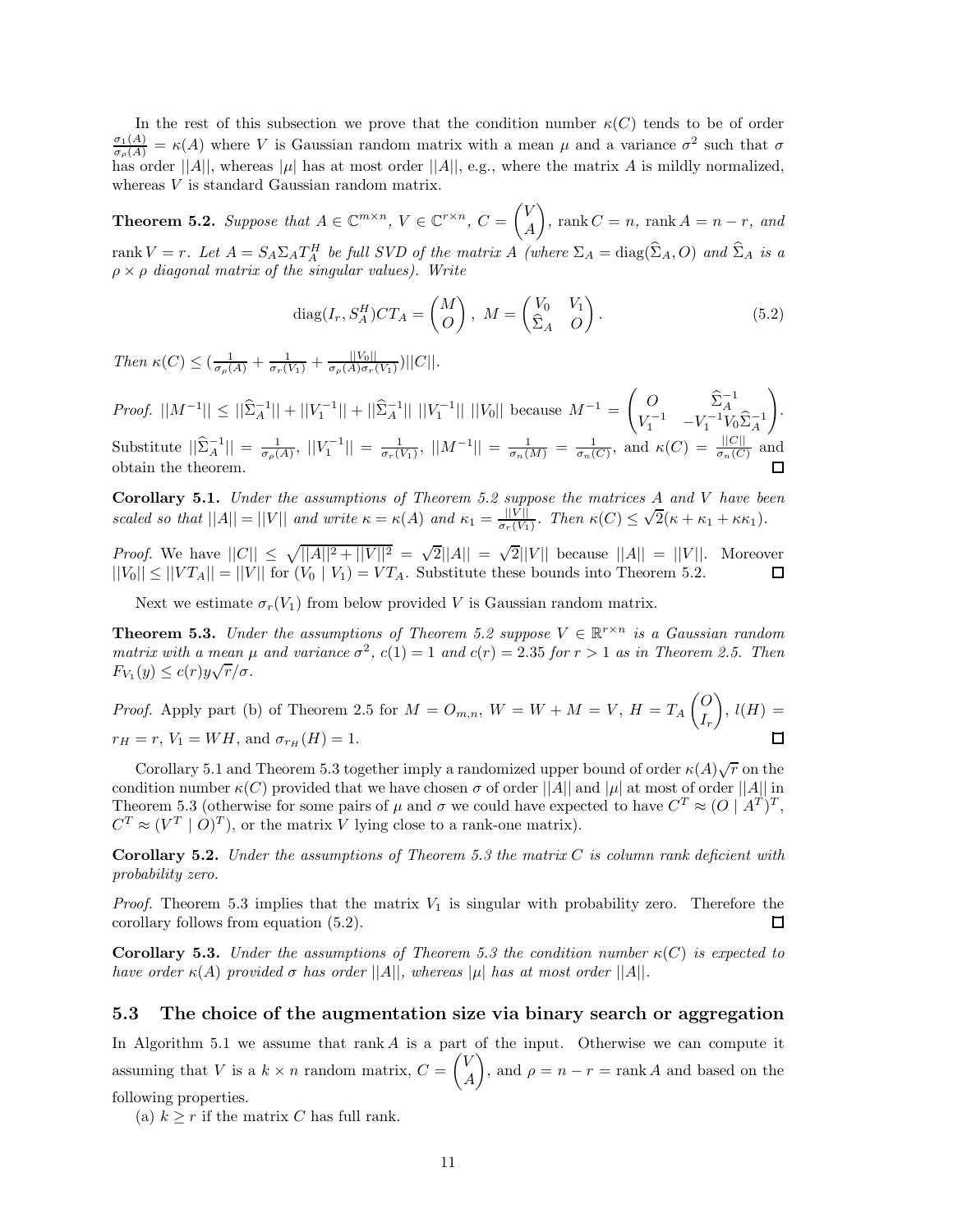In the rest of this subsection we prove that the condition number  $\kappa(C)$  tends to be of order  $\frac{\sigma_1(A)}{\sigma_\rho(A)} = \kappa(A)$  where *V* is Gaussian random matrix with a mean  $\mu$  and a variance  $\sigma^2$  such that  $\sigma$ has order  $||A||$ , whereas  $|\mu|$  has at most order  $||A||$ , e.g., where the matrix *A* is mildly normalized, whereas *V* is standard Gaussian random matrix.

**Theorem 5.2.** *Suppose that*  $A \in \mathbb{C}^{m \times n}$ ,  $V \in \mathbb{C}^{r \times n}$ ,  $C = \begin{pmatrix} V & \mathcal{F} \\ \mathcal{F} & \mathcal{F} \end{pmatrix}$ *A*  $\left( \int_{0}^{\infty} f(x) \, dx \right) = n \cdot \ln A$  =  $n - r$ , and rank  $V = r$ . Let  $A = S_A \Sigma_A T_A^H$  be full SVD of the matrix A (where  $\Sigma_A = \text{diag}(\hat{\Sigma}_A, O)$  and  $\hat{\Sigma}_A$  is a  $\rho \times \rho$  *diagonal matrix of the singular values). Write* 

$$
diag(I_r, S_A^H)CT_A = \begin{pmatrix} M \\ O \end{pmatrix}, \ M = \begin{pmatrix} V_0 & V_1 \\ \hat{\Sigma}_A & O \end{pmatrix}.
$$
 (5.2)

 $\int_{a}^{a} f(x) dx \leq \left( \frac{1}{\sigma_{\rho}(A)} + \frac{1}{\sigma_{\rho}(V_1)} + \frac{||V_0||}{\sigma_{\rho}(A)\sigma_{\tau}(V_1)} \right) ||C||.$ 

*Proof.*  $||M^{-1}|| \le ||\hat{\Sigma}_A^{-1}|| + ||V_1^{-1}|| + ||\hat{\Sigma}_A^{-1}|| ||V_1^{-1}|| ||V_0||$  because  $M^{-1} =$  $\begin{pmatrix} O & \hat{\Sigma}_A^{-1} \\ V_1^{-1} & -V_1^{-1}V_0\hat{\Sigma}_A^{-1} \end{pmatrix}$  $\setminus$ . Substitute  $||\hat{\Sigma}_A^{-1}|| = \frac{1}{\sigma_p(A)}, ||V_1^{-1}|| = \frac{1}{\sigma_r(V_1)}, ||M^{-1}|| = \frac{1}{\sigma_n(M)} = \frac{1}{\sigma_n(C)},$  and  $\kappa(C) = \frac{||C||}{\sigma_n(C)}$  and obtain the theorem.

**Corollary 5.1.** *Under the assumptions of Theorem 5.2 suppose the matrices A and V have been* coronary 3.1. Onder the assumptions of Theorem 3.2 suppose the matrices A and V have be<br>scaled so that  $||A|| = ||V||$  and write  $\kappa = \kappa(A)$  and  $\kappa_1 = \frac{||V||}{\sigma_r(V_1)}$ . Then  $\kappa(C) \leq \sqrt{2}(\kappa + \kappa_1 + \kappa \kappa_1)$ .

*Proof.* We have  $||C|| \le \sqrt{||A||^2 + ||V||^2} = \sqrt{2}||A|| = \sqrt{2}||V||$  because  $||A|| = ||V||$ . Moreover  $||V_0|| \leq ||VT_A|| = ||V||$  for  $(V_0 | V_1) = VT_A$ . Substitute these bounds into Theorem 5.2.  $\Box$ 

Next we estimate  $\sigma_r(V_1)$  from below provided *V* is Gaussian random matrix.

**Theorem 5.3.** *Under the assumptions of Theorem 5.2 suppose*  $V \in \mathbb{R}^{r \times n}$  *is a Gaussian random matrix with a mean*  $\mu$  *and variance*  $\sigma^2$ ,  $c(1) = 1$  *and*  $c(r) = 2.35$  *for*  $r > 1$  *as in Theorem 2.5. Then*  $F_{V_1}(y) \le c(r)y\sqrt{r}/\sigma$ .

*Proof.* Apply part (b) of Theorem 2.5 for 
$$
M = O_{m,n}
$$
,  $W = W + M = V$ ,  $H = T_A \begin{pmatrix} O \\ I_r \end{pmatrix}$ ,  $l(H) = r_H = r$ ,  $V_1 = WH$ , and  $\sigma_{r_H}(H) = 1$ .

Corollary 5.1 and Theorem 5.3 together imply a randomized upper bound of order  $\kappa(A)\sqrt{r}$  on the condition number  $\kappa(C)$  provided that we have chosen  $\sigma$  of order  $||A||$  and  $|\mu|$  at most of order  $||A||$  in Theorem 5.3 (otherwise for some pairs of  $\mu$  and  $\sigma$  we could have expected to have  $C^T \approx (O \mid A^T)^T$ ,  $C^T \approx (V^T \mid O)^T$ , or the matrix *V* lying close to a rank-one matrix).

**Corollary 5.2.** *Under the assumptions of Theorem 5.3 the matrix C is column rank deficient with probability zero.*

*Proof.* Theorem 5.3 implies that the matrix  $V_1$  is singular with probability zero. Therefore the corollary follows from equation (5.2).  $\Box$ 

**Corollary 5.3.** *Under the assumptions of Theorem 5.3 the condition number*  $\kappa(C)$  *is expected to have order*  $\kappa(A)$  *provided*  $\sigma$  *has order*  $||A||$ *, whereas*  $|\mu|$  *has at most order*  $||A||$ *.* 

#### **5.3 The choice of the augmentation size via binary search or aggregation**

In Algorithm 5.1 we assume that rank *A* is a part of the input. Otherwise we can compute it assuming that *V* is a  $k \times n$  random matrix,  $C =$  $\sqrt{V}$ *A* ), and  $\rho = n - r = \text{rank } A$  and based on the following properties.

(a)  $k > r$  if the matrix *C* has full rank.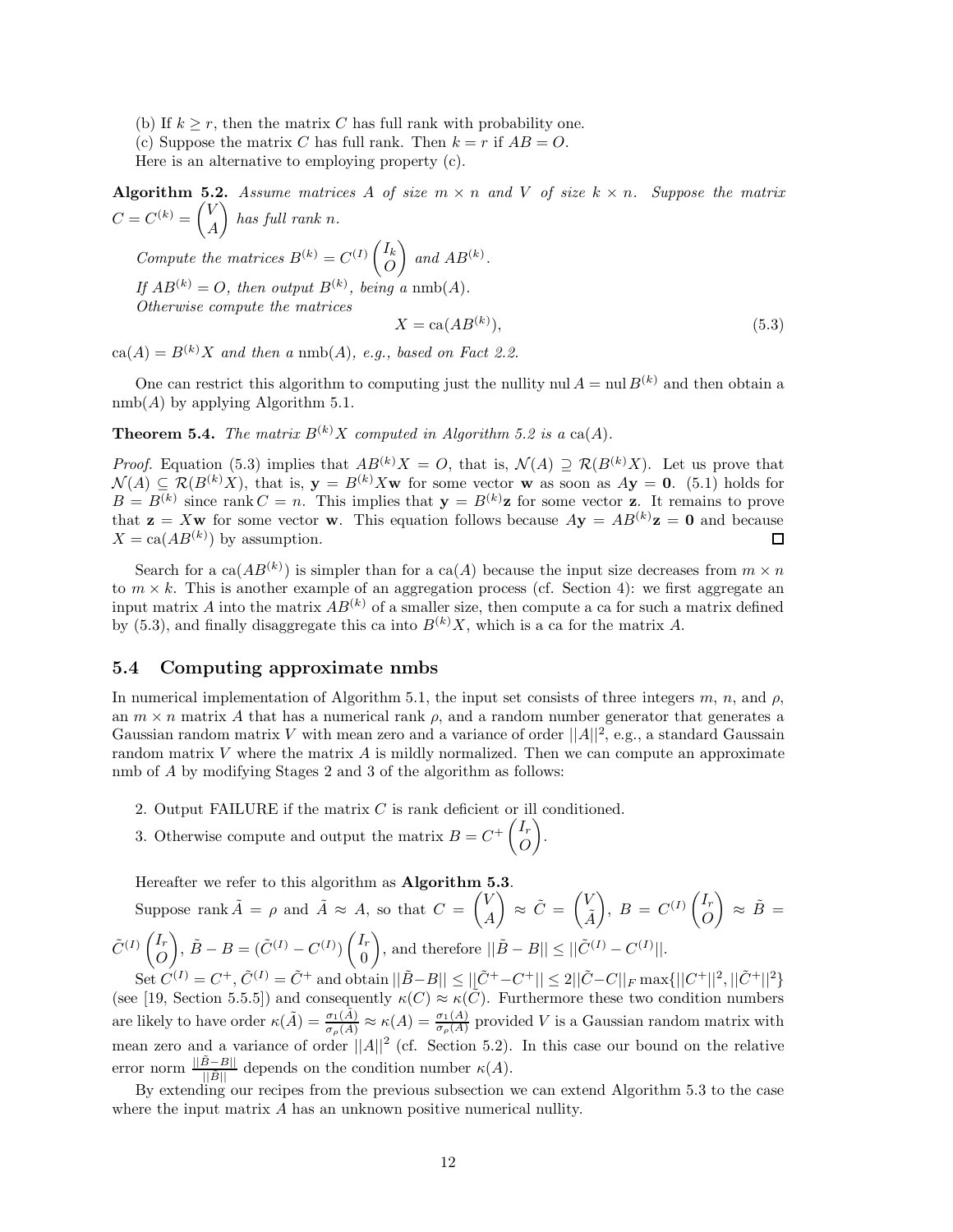- (b) If  $k \geq r$ , then the matrix *C* has full rank with probability one.
- (c) Suppose the matrix *C* has full rank. Then  $k = r$  if  $AB = O$ .

Here is an alternative to employing property (c).

**Algorithm 5.2.** Assume matrices A of size  $m \times n$  and V of size  $k \times n$ . Suppose the matrix  $C = C^{(k)} = \begin{pmatrix} V \\ V \end{pmatrix}$ *A*  $\int$  *has full rank n.* 

*Compute the matrices*  $B^{(k)} = C^{(I)} \begin{pmatrix} I_k \\ O \end{pmatrix}$ *O*  $\Big)$  and  $AB^{(k)}$ . If  $AB^{(k)} = O$ , then output  $B^{(k)}$ , being a nmb(A). *Otherwise compute the matrices*  $X = \text{ca}(AB^{(k)}).$  $(5.3)$ 

 $ca(A) = B^{(k)}X$  *and then a* nmb(A), *e.g., based on Fact 2.2.* 

One can restrict this algorithm to computing just the nullity nul  $A = \text{null } B^{(k)}$  and then obtain a  $nmb(A)$  by applying Algorithm 5.1.

**Theorem 5.4.** *The matrix*  $B^{(k)}X$  *computed in Algorithm 5.2 is a* ca(*A*)*.* 

*Proof.* Equation (5.3) implies that  $AB^{(k)}X = O$ , that is,  $\mathcal{N}(A) \supseteq \mathcal{R}(B^{(k)}X)$ . Let us prove that  $\mathcal{N}(A) \subseteq \mathcal{R}(B^{(k)}X)$ , that is,  $\mathbf{y} = B^{(k)}X\mathbf{w}$  for some vector **w** as soon as  $A\mathbf{y} = \mathbf{0}$ . (5.1) holds for  $B = B^{(k)}$  since rank  $C = n$ . This implies that  $\mathbf{y} = B^{(k)}\mathbf{z}$  for some vector **z**. It remains to prove that  $z = Xw$  for some vector w. This equation follows because  $Ay = AB^{(k)}z = 0$  and because  $X = \text{ca}(AB^{(k)})$  by assumption. 囗

Search for a ca( $AB^{(k)}$ ) is simpler than for a ca(A) because the input size decreases from  $m \times n$ to  $m \times k$ . This is another example of an aggregation process (cf. Section 4): we first aggregate an input matrix *A* into the matrix  $AB^{(k)}$  of a smaller size, then compute a ca for such a matrix defined by (5.3), and finally disaggregate this ca into  $B^{(k)}X$ , which is a ca for the matrix A.

# **5.4 Computing approximate nmbs**

In numerical implementation of Algorithm 5.1, the input set consists of three integers  $m$ ,  $n$ , and  $\rho$ , an  $m \times n$  matrix A that has a numerical rank  $\rho$ , and a random number generator that generates a Gaussian random matrix *V* with mean zero and a variance of order  $||A||^2$ , e.g., a standard Gaussain random matrix  $V$  where the matrix  $A$  is mildly normalized. Then we can compute an approximate nmb of *A* by modifying Stages 2 and 3 of the algorithm as follows:

- 2. Output FAILURE if the matrix *C* is rank deficient or ill conditioned.
- 3. Otherwise compute and output the matrix  $B = C^+ \begin{pmatrix} I_r \\ O \end{pmatrix}$ *O* - .

Hereafter we refer to this algorithm as **Algorithm 5.3**.

Suppose rank 
$$
\tilde{A} = \rho
$$
 and  $\tilde{A} \approx A$ , so that  $C = \begin{pmatrix} V \\ A \end{pmatrix} \approx \tilde{C} = \begin{pmatrix} V \\ \tilde{A} \end{pmatrix}$ ,  $B = C^{(I)} \begin{pmatrix} I_r \\ O \end{pmatrix} \approx \tilde{B} = \tilde{C}^{(I)} \begin{pmatrix} I_r \\ O \end{pmatrix}$ ,  $\tilde{B} - B = (\tilde{C}^{(I)} - C^{(I)}) \begin{pmatrix} I_r \\ 0 \end{pmatrix}$ , and therefore  $||\tilde{B} - B|| \le ||\tilde{C}^{(I)} - C^{(I)}||$ .

 $\text{Set } C^{(I)} = C^+, C^{(I)} = C^+$  and obtain  $||B-B|| \leq ||C^+ - C^+|| \leq 2||C - C||_F \max\{||C^+||^2, ||C^+||^2\}$ (see [19, Section 5.5.5]) and consequently  $\kappa(C) \approx \kappa(C)$ . Furthermore these two condition numbers are likely to have order  $\kappa(\tilde{A}) = \frac{\sigma_1(\tilde{A})}{\sigma_\rho(\tilde{A})} \approx \kappa(A) = \frac{\sigma_1(A)}{\sigma_\rho(A)}$  provided *V* is a Gaussian random matrix with mean zero and a variance of order  $||A||^2$  (cf. Section 5.2). In this case our bound on the relative error norm  $\frac{||\tilde{B}-B||}{||\tilde{B}||}$  depends on the condition number  $\kappa(A)$ .

By extending our recipes from the previous subsection we can extend Algorithm 5.3 to the case where the input matrix *A* has an unknown positive numerical nullity.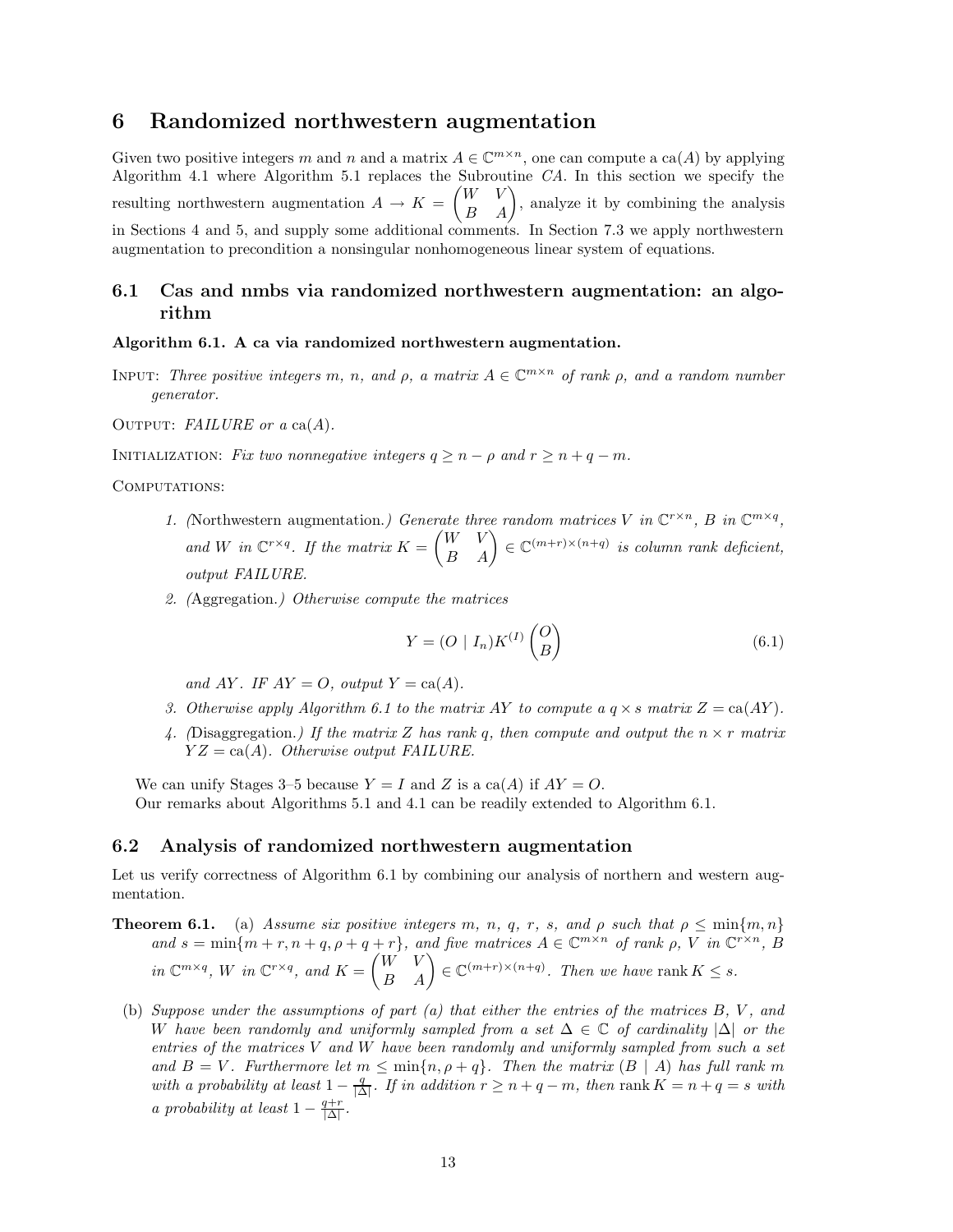# **6 Randomized northwestern augmentation**

Given two positive integers *m* and *n* and a matrix  $A \in \mathbb{C}^{m \times n}$ , one can compute a ca(*A*) by applying Algorithm 4.1 where Algorithm 5.1 replaces the Subroutine *CA*. In this section we specify the resulting northwestern augmentation  $A \rightarrow K =$  $\begin{pmatrix} W & V \\ B & A \end{pmatrix}$ , analyze it by combining the analysis in Sections 4 and 5, and supply some additional comments. In Section 7.3 we apply northwestern augmentation to precondition a nonsingular nonhomogeneous linear system of equations.

# **6.1 Cas and nmbs via randomized northwestern augmentation: an algorithm**

**Algorithm 6.1. A ca via randomized northwestern augmentation.**

INPUT: *Three positive integers*  $m$ *,*  $n$ *, and*  $\rho$ *, a matrix*  $A \in \mathbb{C}^{m \times n}$  *of rank*  $\rho$ *, and a random number generator.*

OUTPUT: *FAILURE* or  $a \text{ ca}(A)$ .

INITIALIZATION: *Fix two nonnegative integers*  $q > n - \rho$  and  $r > n + q - m$ .

COMPUTATIONS:

- *1.* (Northwestern augmentation.) Generate three random matrices V in  $\mathbb{C}^{r \times n}$ , B in  $\mathbb{C}^{m \times q}$ . and *W* in  $\mathbb{C}^{r \times q}$ . If the matrix  $K = \begin{pmatrix} W & V \\ B & A \end{pmatrix} \in \mathbb{C}^{(m+r) \times (n+q)}$  is column rank deficient, *output FAILURE.*
- *2. (*Aggregation.*) Otherwise compute the matrices*

$$
Y = (O \mid I_n)K^{(I)}\begin{pmatrix} O \\ B \end{pmatrix} \tag{6.1}
$$

*and*  $AY$ *. IF*  $AY = O$ *, output*  $Y = ca(A)$ *.* 

- *3. Otherwise apply Algorithm 6.1 to the matrix AY to compute a*  $q \times s$  *matrix*  $Z = \text{ca}(AY)$ *.*
- 4. (Disaggregation.) If the matrix Z has rank q, then compute and output the  $n \times r$  matrix *Y Z* = ca(*A*)*. Otherwise output FAILURE.*

We can unify Stages 3–5 because  $Y = I$  and Z is a ca(A) if  $AY = O$ . Our remarks about Algorithms 5.1 and 4.1 can be readily extended to Algorithm 6.1.

## **6.2 Analysis of randomized northwestern augmentation**

Let us verify correctness of Algorithm 6.1 by combining our analysis of northern and western augmentation.

- **Theorem 6.1.** (a) Assume six positive integers  $m$ ,  $n$ ,  $q$ ,  $r$ ,  $s$ , and  $\rho$  such that  $\rho \leq \min\{m, n\}$ and  $s = \min\{m + r, n + q, \rho + q + r\}$ , and five matrices  $A \in \mathbb{C}^{m \times n}$  of rank  $\rho$ , V in  $\mathbb{C}^{r \times n}$ , B  $\int_{0}^{\infty} W^{m \times q}$ ,  $W$  *in*  $\mathbb{C}^{r \times q}$ , and  $K = \begin{pmatrix} W & V \\ B & A \end{pmatrix} \in \mathbb{C}^{(m+r) \times (n+q)}$ . Then we have rank  $K \leq s$ .
- (b) *Suppose under the assumptions of part (a) that either the entries of the matrices B, V , and W have been randomly and uniformly sampled from a set* ∆ ∈ C *of cardinality* |∆| *or the entries of the matrices V and W have been randomly and uniformly sampled from such a set and*  $B = V$ . Furthermore let  $m \leq \min\{n, \rho + q\}$ . Then the matrix  $(B | A)$  has full rank m *with a probability at least*  $1 - \frac{q}{|\Delta|}$ *. If in addition*  $r \geq n + q - m$ *, then* rank  $K = n + q = s$  *with a probability at least*  $1 - \frac{q+r}{|\Delta|}$ .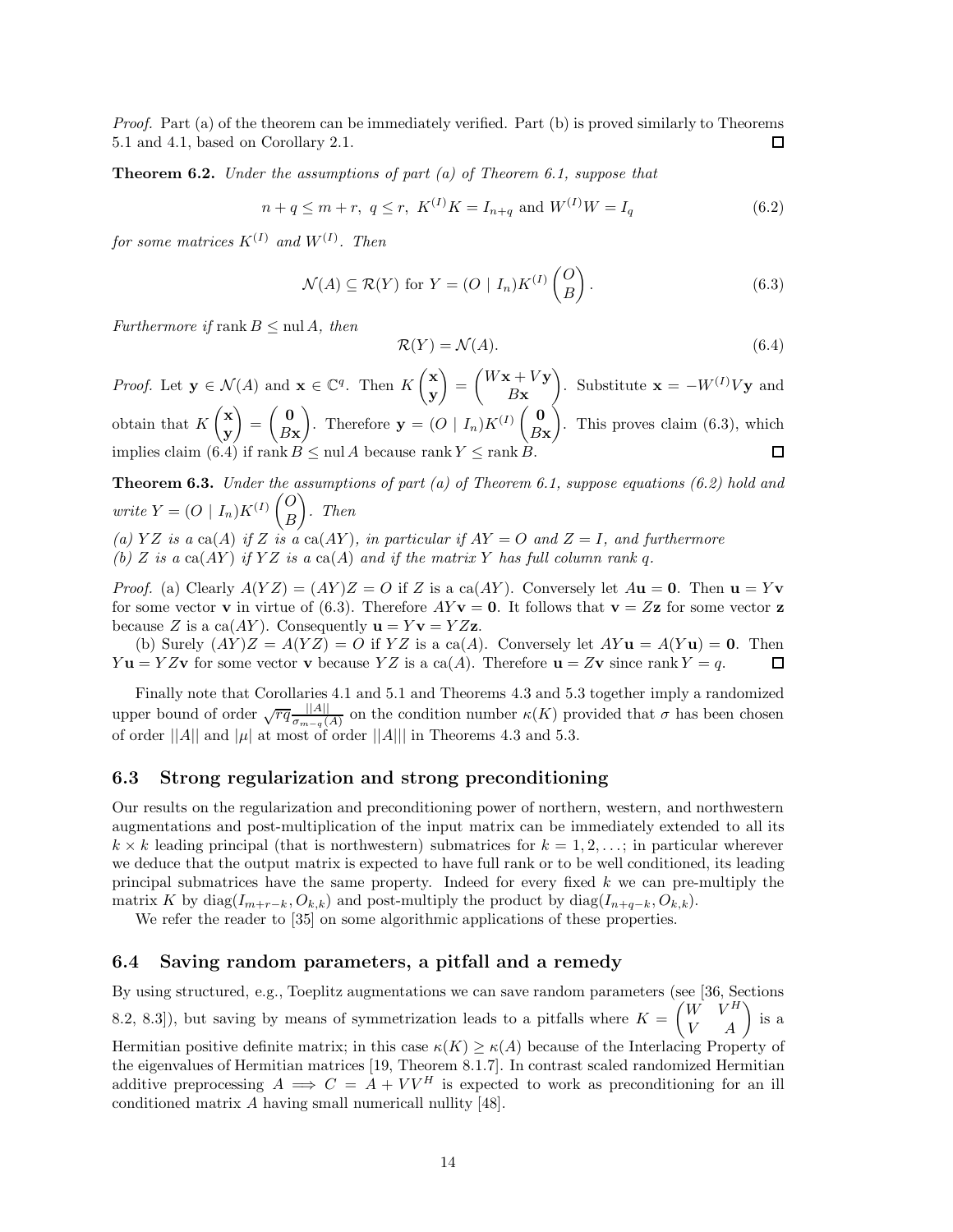*Proof.* Part (a) of the theorem can be immediately verified. Part (b) is proved similarly to Theorems 5.1 and 4.1, based on Corollary 2.1. ◻

**Theorem 6.2.** *Under the assumptions of part (a) of Theorem 6.1, suppose that*

$$
n + q \le m + r, \ q \le r, \ K^{(I)}K = I_{n+q} \text{ and } W^{(I)}W = I_q \tag{6.2}
$$

 $for some matrices K^{(I)} and W^{(I)}$ . Then

$$
\mathcal{N}(A) \subseteq \mathcal{R}(Y) \text{ for } Y = (O \mid I_n) K^{(I)} \begin{pmatrix} O \\ B \end{pmatrix}.
$$
 (6.3)

*Furthermore if* rank  $B \leq \text{null } A$ , then

$$
\mathcal{R}(Y) = \mathcal{N}(A). \tag{6.4}
$$

*Proof.* Let  $\mathbf{y} \in \mathcal{N}(A)$  and  $\mathbf{x} \in \mathbb{C}^q$ . Then  $K \begin{pmatrix} \mathbf{x} \\ \mathbf{y} \end{pmatrix}$ **y**  $) =$  $\int$ *W***x** + *V***y** *B***x**  $\bigg)$ . Substitute **x** =  $-W^{(I)}V$ **y** and obtain that *K*  $\left(x\right)$ **y**  $\Big) = \Big(\begin{array}{c} 0 \\ D_2 \end{array}\Big)$ *B***x** ). Therefore  $\mathbf{y} = (O \mid I_n)K^{(I)} \begin{pmatrix} \mathbf{0} \\ B_1 \end{pmatrix}$ *B***x**  $\Big)$ . This proves claim  $(6.3)$ , which implies claim (6.4) if  $\text{rank } B \leq \text{null } A$  because  $\text{rank } Y \leq \text{rank } B$ .

**Theorem 6.3.** *Under the assumptions of part (a) of Theorem 6.1, suppose equations (6.2) hold and write*  $Y = (O \mid I_n)K^{(I)}\begin{pmatrix} O \\ D \end{pmatrix}$ *B* - *. Then*

(a)  $YZ$  *is a* ca(*A*) *if*  $Z$  *is a* ca(*AY*)*, in particular if*  $AY = O$  *and*  $Z = I$ *, and furthermore* 

 $(h)$  *Z is a* ca $(AY)$  *if*  $YZ$  *is a* ca $(A)$  *and if the matrix*  $Y$  *has full column rank q.* 

*Proof.* (a) Clearly  $A(YZ) = (AY)Z = O$  if *Z* is a ca(*AY*). Conversely let  $A**u** = **0**$ . Then  $$ for some vector **v** in virtue of (6.3). Therefore  $AY$ **v** = 0. It follows that **v** =  $Z$ **z** for some vector **z** because *Z* is a ca(*AY*). Consequently  $\mathbf{u} = Y\mathbf{v} = YZ\mathbf{z}$ .

(b) Surely  $(AY)Z = A(YZ) = O$  if  $YZ$  is a ca(A). Conversely let  $AYu = A(Yu) = 0$ . Then *Y* **u** = *YZ***v** for some vector **v** because *YZ* is a ca(*A*). Therefore **u** = *Z***v** since rank *Y* = *q*. 口

Finally note that Corollaries 4.1 and 5.1 and Theorems 4.3 and 5.3 together imply a randomized upper bound of order  $\sqrt{rq} \frac{|A|}{\sigma_{m-q}(A)}$  on the condition number *κ*(*K*) provided that *σ* has been chosen of order  $||A||$  and  $|\mu|$  at most of order  $||A||$  in Theorems 4.3 and 5.3.

# **6.3 Strong regularization and strong preconditioning**

Our results on the regularization and preconditioning power of northern, western, and northwestern augmentations and post-multiplication of the input matrix can be immediately extended to all its  $k \times k$  leading principal (that is northwestern) submatrices for  $k = 1, 2, \ldots$ ; in particular wherever we deduce that the output matrix is expected to have full rank or to be well conditioned, its leading principal submatrices have the same property. Indeed for every fixed *k* we can pre-multiply the matrix *K* by diag( $I_{m+r-k}, O_{k,k}$ ) and post-multiply the product by diag( $I_{n+q-k}, O_{k,k}$ ).

We refer the reader to [35] on some algorithmic applications of these properties.

# **6.4 Saving random parameters, a pitfall and a remedy**

By using structured, e.g., Toeplitz augmentations we can save random parameters (see [36, Sections 8.2, 8.3]), but saving by means of symmetrization leads to a pitfalls where  $K =$  $\begin{pmatrix} W & V^H \\ V & A \end{pmatrix}$  is a

Hermitian positive definite matrix; in this case  $\kappa(K) \geq \kappa(A)$  because of the Interlacing Property of the eigenvalues of Hermitian matrices [19, Theorem 8.1.7]. In contrast scaled randomized Hermitian additive preprocessing  $A \implies C = A + VV^H$  is expected to work as preconditioning for an ill conditioned matrix *A* having small numericall nullity [48].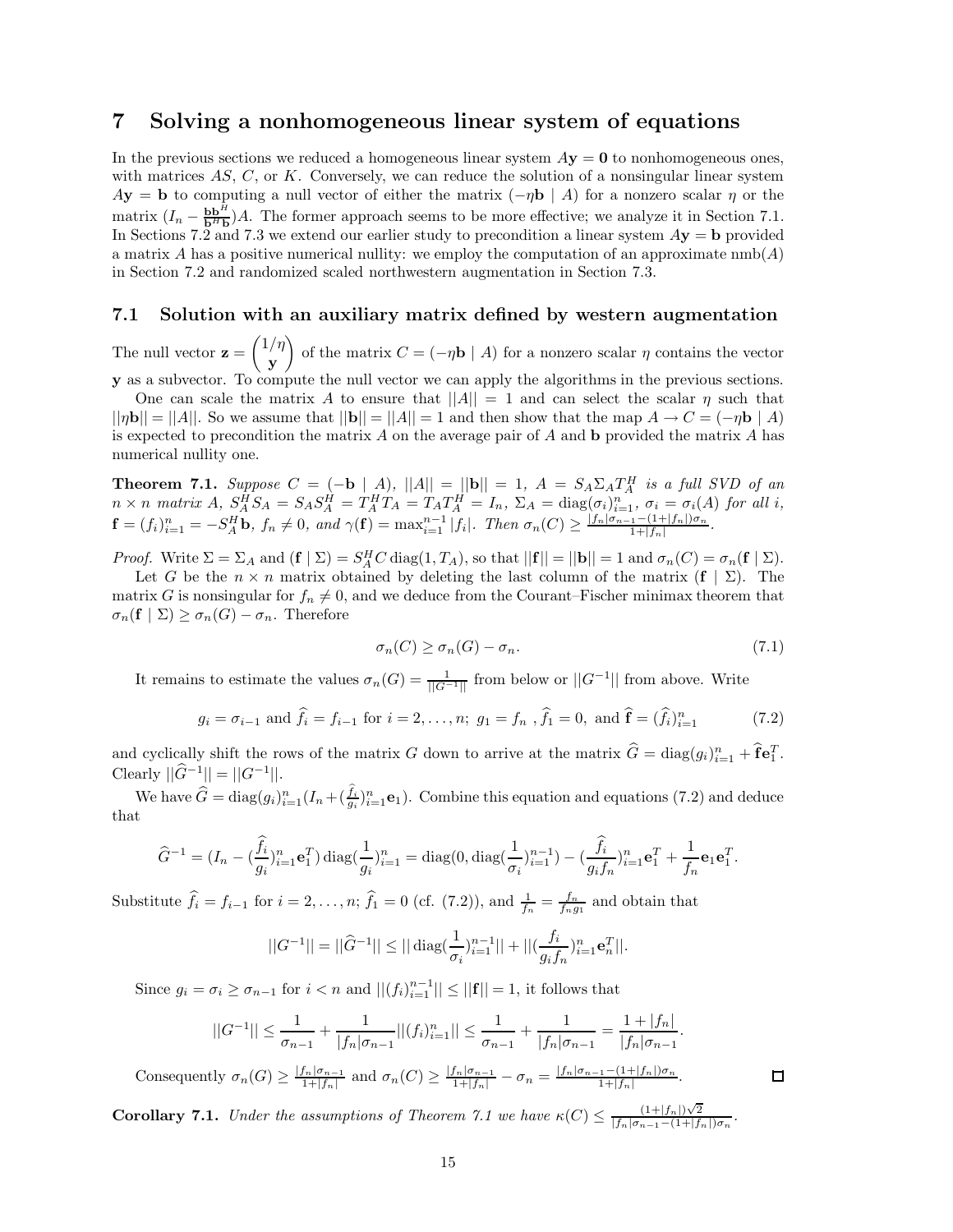# **7 Solving a nonhomogeneous linear system of equations**

In the previous sections we reduced a homogeneous linear system  $A$ **y** = **0** to nonhomogeneous ones, with matrices *AS*, *C*, or *K*. Conversely, we can reduce the solution of a nonsingular linear system  $A$ **y** = **b** to computing a null vector of either the matrix  $(-\eta \mathbf{b} | A)$  for a nonzero scalar  $\eta$  or the matrix  $(I_n - \frac{b b^H}{b^H b})A$ . The former approach seems to be more effective; we analyze it in Section 7.1. In Sections 7.2 and 7.3 we extend our earlier study to precondition a linear system  $Ay = b$  provided a matrix *A* has a positive numerical nullity: we employ the computation of an approximate nmb(*A*) in Section 7.2 and randomized scaled northwestern augmentation in Section 7.3.

## **7.1 Solution with an auxiliary matrix defined by western augmentation**

The null vector  $z =$  1*/η* **y** of the matrix  $C = (-\eta \mathbf{b} \mid A)$  for a nonzero scalar  $\eta$  contains the vector **y** as a subvector. To compute the null vector we can apply the algorithms in the previous sections.

One can scale the matrix *A* to ensure that  $||A|| = 1$  and can select the scalar *η* such that  $||\eta \mathbf{b}|| = ||A||$ . So we assume that  $||\mathbf{b}|| = ||A|| = 1$  and then show that the map  $A \to C = (-\eta \mathbf{b} | A)$ is expected to precondition the matrix *A* on the average pair of *A* and **b** provided the matrix *A* has numerical nullity one.

**Theorem 7.1.** *Suppose*  $C = (-b | A)$ *,*  $||A|| = ||b|| = 1$ *,*  $A = S_A \Sigma_A T_A^H$  *is a full SVD of an*  $n \times n$  matrix  $A$ ,  $S_A^H S_A = S_A S_A^H = T_A^H T_A = T_A T_A^H = I_n$ ,  $\Sigma_A = \text{diag}(\sigma_i)_{i=1}^n$ ,  $\sigma_i = \sigma_i(A)$  for all i,  $\mathbf{f} = (f_i)_{i=1}^n = -S_A^H \mathbf{b}, f_n \neq 0, \text{ and } \gamma(\mathbf{f}) = \max_{i=1}^{n-1} |f_i|.$  Then  $\sigma_n(C) \geq \frac{|f_n|\sigma_{n-1} - (1+|f_n|)\sigma_n}{1+|f_n|}.$ 

*Proof.* Write  $\Sigma = \Sigma_A$  and  $(\mathbf{f} \mid \Sigma) = S_A^H C \operatorname{diag}(1, T_A)$ , so that  $||\mathbf{f}|| = ||\mathbf{b}|| = 1$  and  $\sigma_n(C) = \sigma_n(\mathbf{f} \mid \Sigma)$ .

Let *G* be the  $n \times n$  matrix obtained by deleting the last column of the matrix  $(f | \Sigma)$ . The matrix *G* is nonsingular for  $f_n \neq 0$ , and we deduce from the Courant–Fischer minimax theorem that  $\sigma_n(\mathbf{f} \mid \Sigma) \geq \sigma_n(G) - \sigma_n$ . Therefore

$$
\sigma_n(C) \ge \sigma_n(G) - \sigma_n. \tag{7.1}
$$

It remains to estimate the values  $\sigma_n(G) = \frac{1}{||G^{-1}||}$  from below or  $||G^{-1}||$  from above. Write

$$
g_i = \sigma_{i-1}
$$
 and  $\hat{f}_i = f_{i-1}$  for  $i = 2, ..., n$ ;  $g_1 = f_n$ ,  $\hat{f}_1 = 0$ , and  $\hat{f} = (\hat{f}_i)_{i=1}^n$  (7.2)

and cyclically shift the rows of the matrix *G* down to arrive at the matrix  $\hat{G} = \text{diag}(g_i)_{i=1}^n + \hat{\mathbf{f}} \mathbf{e}_1^T$ .  $\text{Clearly } ||\hat{G}^{-1}|| = ||G^{-1}||.$ 

We have  $\widehat{G} = \text{diag}(g_i)_{i=1}^n (I_n + (\frac{f_i}{g_i})_{i=1}^n \mathbf{e}_1)$ . Combine this equation and equations (7.2) and deduce that

$$
\widehat{G}^{-1} = (I_n - (\frac{\widehat{f}_i}{g_i})_{i=1}^n \mathbf{e}_1^T) \operatorname{diag}(\frac{1}{g_i})_{i=1}^n = \operatorname{diag}(0, \operatorname{diag}(\frac{1}{\sigma_i})_{i=1}^{n-1}) - (\frac{\widehat{f}_i}{g_i f_n})_{i=1}^n \mathbf{e}_1^T + \frac{1}{f_n} \mathbf{e}_1 \mathbf{e}_1^T.
$$

Substitute  $\hat{f}_i = f_{i-1}$  for  $i = 2, \ldots, n$ ;  $\hat{f}_1 = 0$  (cf. (7.2)), and  $\frac{1}{f_n} = \frac{f_n}{f_n g_1}$  and obtain that

$$
||G^{-1}|| = ||\widehat{G}^{-1}|| \le ||\operatorname{diag}(\frac{1}{\sigma_i})_{i=1}^{n-1}|| + ||(\frac{f_i}{g_if_n})_{i=1}^n \mathbf{e}_n^T||.
$$

Since  $g_i = \sigma_i \ge \sigma_{n-1}$  for  $i < n$  and  $||(f_i)_{i=1}^{n-1}|| \le ||\mathbf{f}|| = 1$ , it follows that

$$
||G^{-1}|| \leq \frac{1}{\sigma_{n-1}} + \frac{1}{|f_n|\sigma_{n-1}}||(f_i)_{i=1}^n|| \leq \frac{1}{\sigma_{n-1}} + \frac{1}{|f_n|\sigma_{n-1}} = \frac{1+|f_n|}{|f_n|\sigma_{n-1}}.
$$

Consequently  $\sigma_n(G) \ge \frac{|f_n|\sigma_{n-1}}{1+|f_n|}$  and  $\sigma_n(C) \ge \frac{|f_n|\sigma_{n-1}}{1+|f_n|} - \sigma_n = \frac{|f_n|\sigma_{n-1} - (1+|f_n|)\sigma_n}{1+|f_n|}$ .

**Corollary 7.1.** *Under the assumptions of Theorem 7.1 we have*  $\kappa(C) \leq \frac{(1+|f_n|)\sqrt{2}}{|f_n|\sigma_{n-1}-(1+|f_n|)\sigma_n}$ .

$$
\Box
$$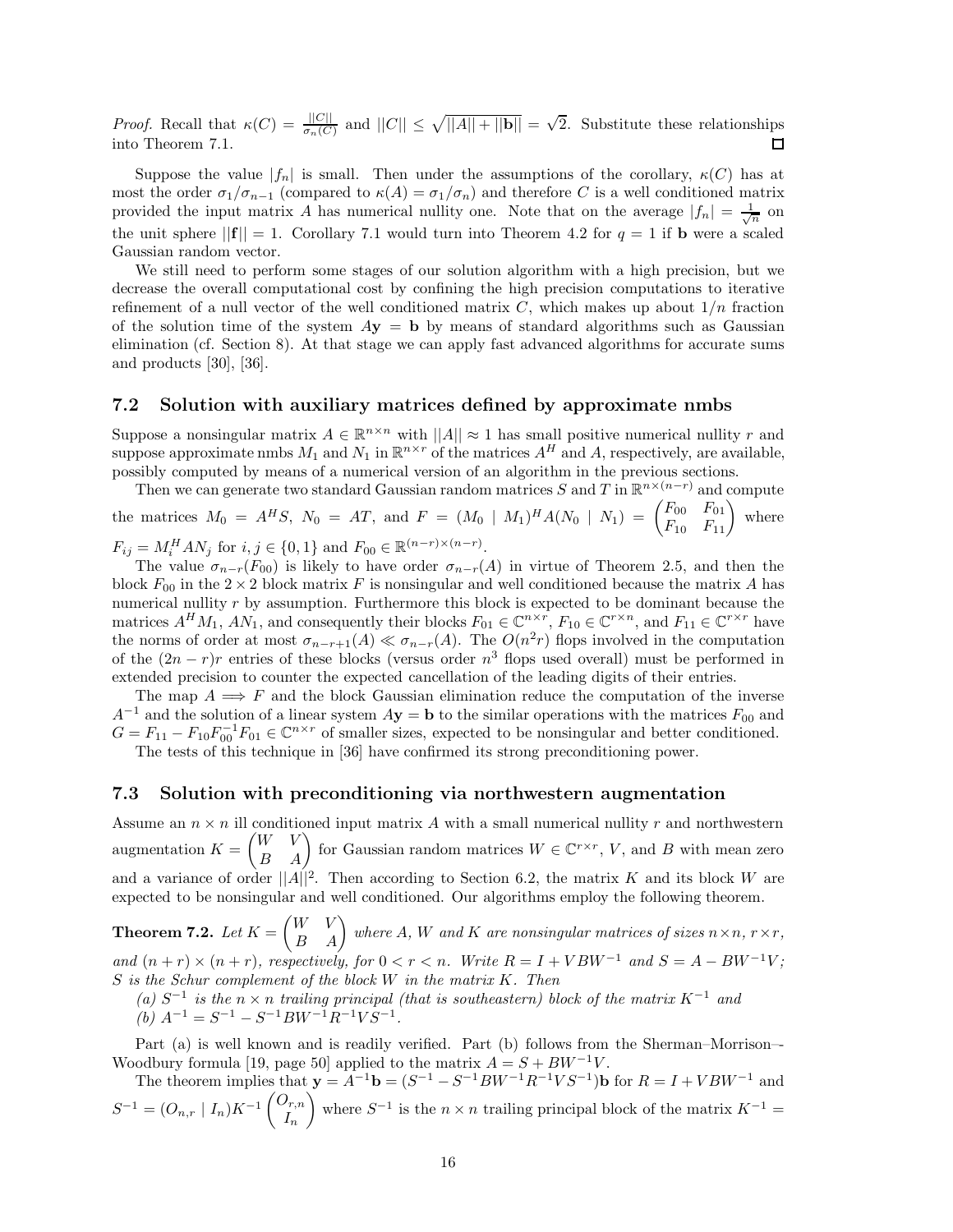*Proof.* Recall that  $\kappa(C) = \frac{||C||}{\sigma_n(C)}$  and  $||C|| \le \sqrt{||A|| + ||\mathbf{b}||} = \sqrt{2}$ . Substitute these relationships into Theorem 7.1.

Suppose the value  $|f_n|$  is small. Then under the assumptions of the corollary,  $\kappa(C)$  has at most the order  $\sigma_1/\sigma_{n-1}$  (compared to  $\kappa(A) = \sigma_1/\sigma_n$ ) and therefore *C* is a well conditioned matrix provided the input matrix *A* has numerical nullity one. Note that on the average  $|f_n| = \frac{1}{\sqrt{n}}$  on the unit sphere  $||{\bf f}|| = 1$ . Corollary 7.1 would turn into Theorem 4.2 for  $q = 1$  if **b** were a scaled Gaussian random vector.

We still need to perform some stages of our solution algorithm with a high precision, but we decrease the overall computational cost by confining the high precision computations to iterative refinement of a null vector of the well conditioned matrix *C*, which makes up about 1*/n* fraction of the solution time of the system  $Ay = b$  by means of standard algorithms such as Gaussian elimination (cf. Section 8). At that stage we can apply fast advanced algorithms for accurate sums and products [30], [36].

## **7.2 Solution with auxiliary matrices defined by approximate nmbs**

Suppose a nonsingular matrix  $A \in \mathbb{R}^{n \times n}$  with  $||A|| \approx 1$  has small positive numerical nullity  $r$  and suppose approximate nmbs  $M_1$  and  $N_1$  in  $\mathbb{R}^{n \times r}$  of the matrices  $A^H$  and  $A$ , respectively, are available, possibly computed by means of a numerical version of an algorithm in the previous sections.

Then we can generate two standard Gaussian random matrices *S* and *T* in  $\mathbb{R}^{n \times (n-r)}$  and compute the matrices  $M_0 = A^H S$ ,  $N_0 = AT$ , and  $F = (M_0 \mid M_1)^H A (N_0 \mid N_1) = \begin{pmatrix} F_{00} & F_{01} \ F_{10} & F_{11} \end{pmatrix}$  where  $F_{ij} = M_i^H A N_j$  for  $i, j \in \{0, 1\}$  and  $F_{00} \in \mathbb{R}^{(n-r)\times(n-r)}$ .

The value  $\sigma_{n-r}(F_{00})$  is likely to have order  $\sigma_{n-r}(A)$  in virtue of Theorem 2.5, and then the block  $F_{00}$  in the  $2 \times 2$  block matrix *F* is nonsingular and well conditioned because the matrix *A* has numerical nullity *r* by assumption. Furthermore this block is expected to be dominant because the matrices  $A^HM_1$ ,  $AN_1$ , and consequently their blocks  $F_{01} \in \mathbb{C}^{n \times r}$ ,  $F_{10} \in \mathbb{C}^{r \times n}$ , and  $F_{11} \in \mathbb{C}^{r \times r}$  have the norms of order at most  $\sigma_{n-r+1}(A) \ll \sigma_{n-r}(A)$ . The  $O(n^2r)$  flops involved in the computation of the  $(2n - r)r$  entries of these blocks (versus order  $n^3$  flops used overall) must be performed in extended precision to counter the expected cancellation of the leading digits of their entries.

The map  $A \implies F$  and the block Gaussian elimination reduce the computation of the inverse  $A^{-1}$  and the solution of a linear system  $A$ **y** = **b** to the similar operations with the matrices  $F_{00}$  and  $G = F_{11} - F_{10}F_{00}^{-1}F_{01} \in \mathbb{C}^{n \times r}$  of smaller sizes, expected to be nonsingular and better conditioned.

The tests of this technique in [36] have confirmed its strong preconditioning power.

## **7.3 Solution with preconditioning via northwestern augmentation**

Assume an  $n \times n$  ill conditioned input matrix A with a small numerical nullity r and northwestern augmentation  $K =$  $\begin{pmatrix} W & V \\ B & A \end{pmatrix}$  for Gaussian random matrices  $W \in \mathbb{C}^{r \times r}$ , *V*, and *B* with mean zero and a variance of order  $||A||^2$ . Then according to Section 6.2, the matrix *K* and its block *W* are expected to be nonsingular and well conditioned. Our algorithms employ the following theorem.

**Theorem 7.2.**  $Let K =$  $\begin{pmatrix} W & V \\ B & A \end{pmatrix}$  where *A, W* and *K* are nonsingular matrices of sizes  $n \times n$ ,  $r \times r$ , *and*  $(n + r) \times (n + r)$ *, respectively, for*  $0 < r < n$ *. Write*  $R = I + VBW^{-1}$  *and*  $S = A - BW^{-1}V$ *; S is the Schur complement of the block W in the matrix K. Then*

 $(a)$  *S*<sup>−1</sup> *is the*  $n \times n$  *trailing principal (that is southeastern) block of the matrix*  $K^{-1}$  *and*  $(b)$   $A^{-1} = S^{-1} - S^{-1}BW^{-1}R^{-1}VS^{-1}$ .

Part (a) is well known and is readily verified. Part (b) follows from the Sherman–Morrison–- Woodbury formula [19, page 50] applied to the matrix  $A = S + BW^{-1}V$ .

The theorem implies that  $\mathbf{y} = A^{-1}\mathbf{b} = (S^{-1} - S^{-1}BW^{-1}R^{-1}VS^{-1})\mathbf{b}$  for  $R = I + VBW^{-1}$  and  $S^{-1} = (O_{n,r} | I_n)K^{-1} \begin{pmatrix} O_{r,n} \\ I \end{pmatrix}$ *In* where  $S^{-1}$  is the  $n \times n$  trailing principal block of the matrix  $K^{-1} =$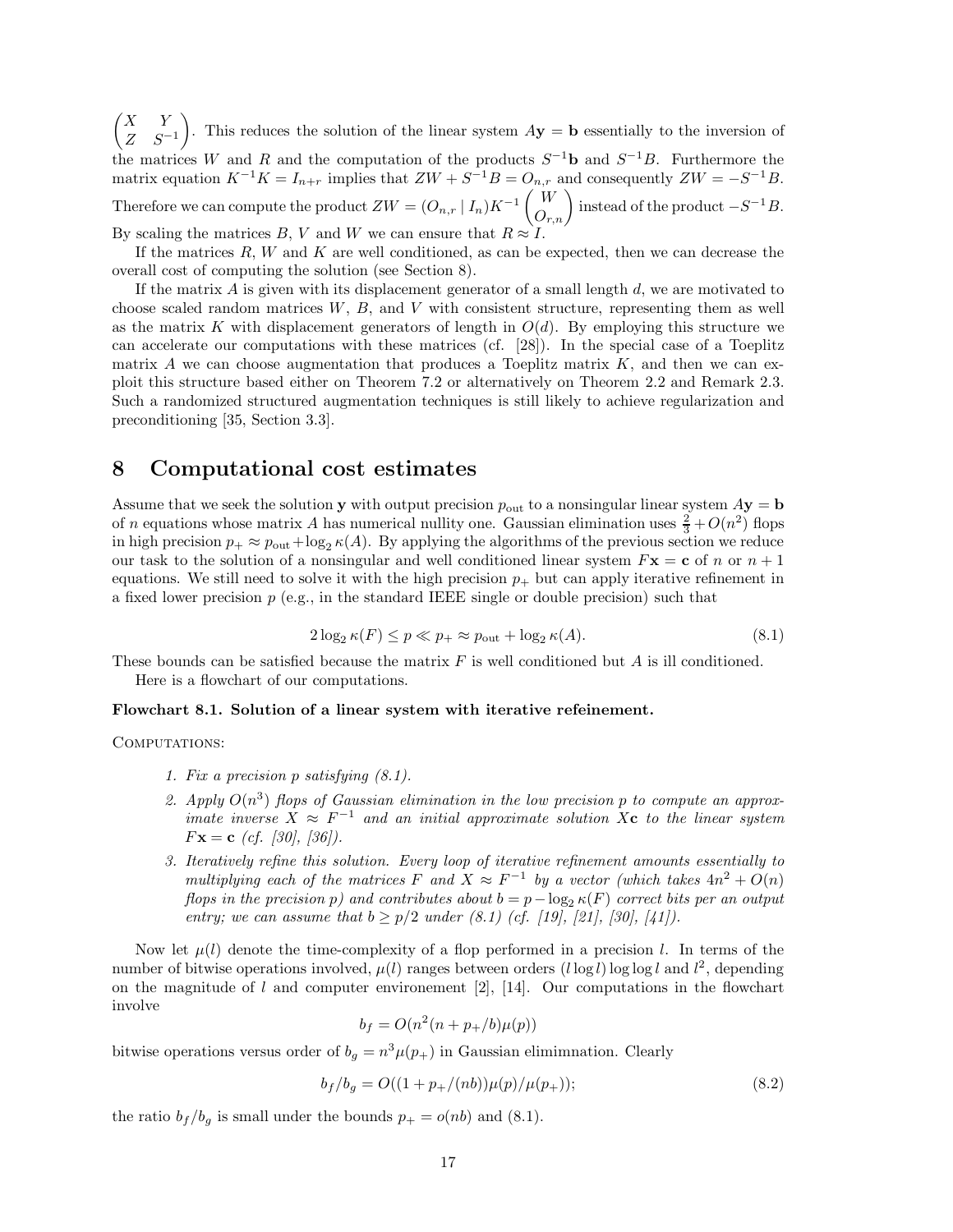*X Y Z S*−<sup>1</sup> ). This reduces the solution of the linear system  $A$ **y** = **b** essentially to the inversion of the matrices *W* and *R* and the computation of the products *S*−1**b** and *S*−1*B*. Furthermore the matrix equation  $K^{-1}K = I_{n+r}$  implies that  $ZW + S^{-1}B = O_{n,r}$  and consequently  $ZW = -S^{-1}B$ . Therefore we can compute the product  $ZW = (O_{n,r} | I_n)K^{-1} \begin{pmatrix} W \\ O_{r,n} \end{pmatrix}$  instead of the product  $-S^{-1}B$ . By scaling the matrices *B*, *V* and *W* we can ensure that  $R \approx I$ .

If the matrices *R*, *W* and *K* are well conditioned, as can be expected, then we can decrease the overall cost of computing the solution (see Section 8).

If the matrix *A* is given with its displacement generator of a small length *d*, we are motivated to choose scaled random matrices *W*, *B*, and *V* with consistent structure, representing them as well as the matrix *K* with displacement generators of length in  $O(d)$ . By employing this structure we can accelerate our computations with these matrices (cf. [28]). In the special case of a Toeplitz matrix  $A$  we can choose augmentation that produces a Toeplitz matrix  $K$ , and then we can exploit this structure based either on Theorem 7.2 or alternatively on Theorem 2.2 and Remark 2.3. Such a randomized structured augmentation techniques is still likely to achieve regularization and preconditioning [35, Section 3.3].

# **8 Computational cost estimates**

Assume that we seek the solution **y** with output precision  $p_{\text{out}}$  to a nonsingular linear system  $A$ **y** = **b** of *n* equations whose matrix *A* has numerical nullity one. Gaussian elimination uses  $\frac{2}{3} + O(n^2)$  flops in high precision  $p_+ \approx p_{\text{out}} + \log_2 \kappa(A)$ . By applying the algorithms of the previous section we reduce our task to the solution of a nonsingular and well conditioned linear system  $F\mathbf{x} = \mathbf{c}$  of *n* or  $n + 1$ equations. We still need to solve it with the high precision  $p_+$  but can apply iterative refinement in a fixed lower precision  $p$  (e.g., in the standard IEEE single or double precision) such that

$$
2\log_2 \kappa(F) \le p \ll p_+ \approx p_{\text{out}} + \log_2 \kappa(A). \tag{8.1}
$$

These bounds can be satisfied because the matrix *F* is well conditioned but *A* is ill conditioned. Here is a flowchart of our computations.

#### **Flowchart 8.1. Solution of a linear system with iterative refeinement.**

COMPUTATIONS:

- *1. Fix a precision p satisfying (8.1).*
- 2. Apply  $O(n^3)$  flops of Gaussian elimination in the low precision p to compute an approx*imate inverse*  $X \approx F^{-1}$  *and an initial approximate solution*  $X_c$  *to the linear system F***x** = **c** *(cf. [30], [36]).*
- *3. Iteratively refine this solution. Every loop of iterative refinement amounts essentially to multiplying each of the matrices*  $F$  *and*  $X \approx F^{-1}$  *by a vector (which takes*  $4n^2 + O(n)$ *flops in the precision p)* and contributes about  $b = p - \log_2 \kappa(F)$  *correct bits per an output entry; we can assume that*  $b \ge p/2$  *under* (8.1) (*cf.* [19], [21], [30], [41]).

Now let  $\mu(l)$  denote the time-complexity of a flop performed in a precision *l*. In terms of the number of bitwise operations involved,  $\mu(l)$  ranges between orders  $(l \log l) \log \log l$  and  $l^2$ , depending on the magnitude of *l* and computer environement [2], [14]. Our computations in the flowchart involve

$$
b_f = O(n^2(n+p_+/b)\mu(p))
$$

bitwise operations versus order of  $b_g = n^3 \mu(p_+)$  in Gaussian elimination. Clearly

$$
b_f/b_g = O((1 + p_+/(nb))\mu(p)/\mu(p_+));\tag{8.2}
$$

the ratio  $b_f/b_g$  is small under the bounds  $p_+ = o(nb)$  and (8.1).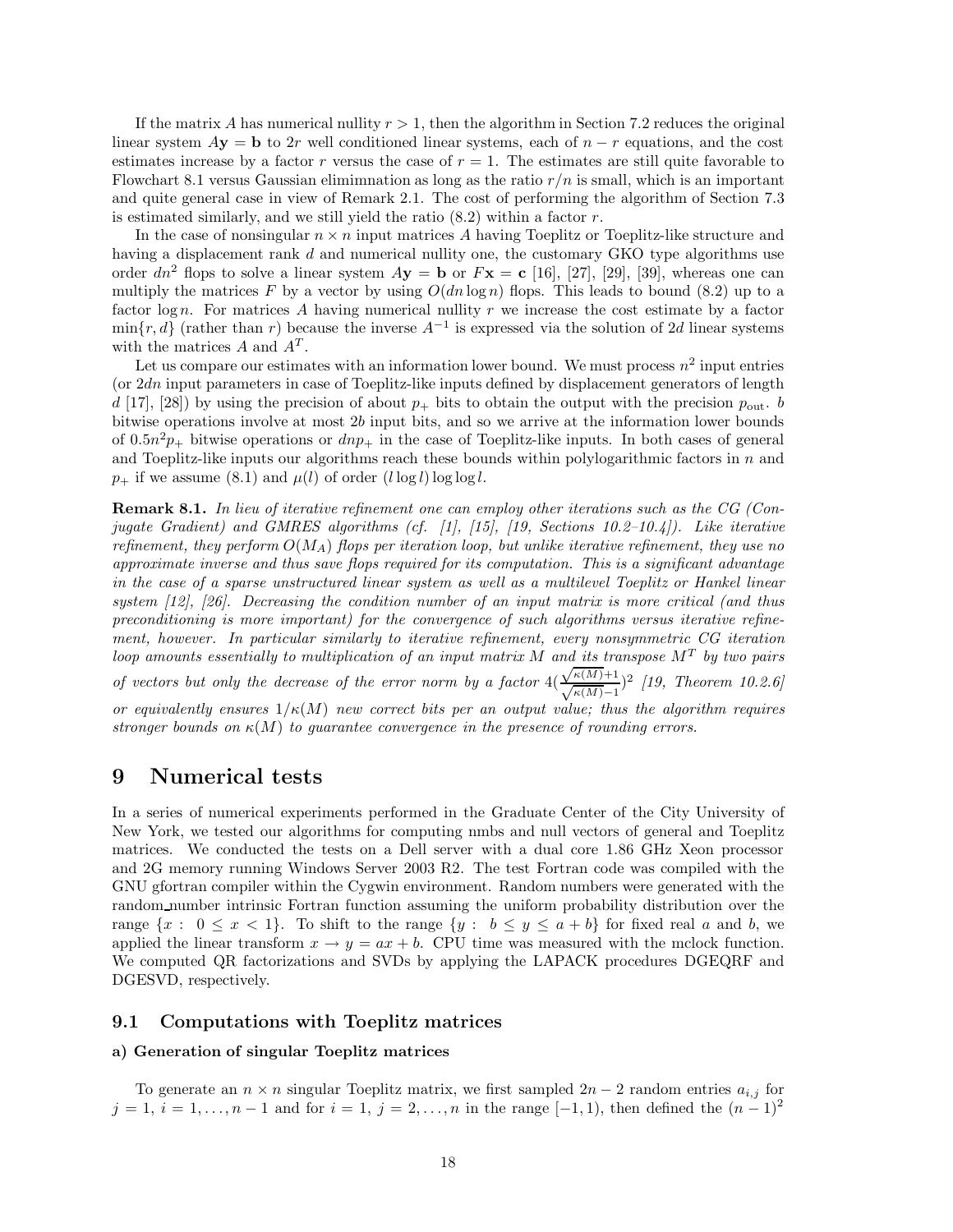If the matrix *A* has numerical nullity  $r > 1$ , then the algorithm in Section 7.2 reduces the original linear system  $A$ **y** = **b** to 2*r* well conditioned linear systems, each of  $n - r$  equations, and the cost estimates increase by a factor  $r$  versus the case of  $r = 1$ . The estimates are still quite favorable to Flowchart 8.1 versus Gaussian elimimnation as long as the ratio *r/n* is small, which is an important and quite general case in view of Remark 2.1. The cost of performing the algorithm of Section 7.3 is estimated similarly, and we still yield the ratio (8.2) within a factor *r*.

In the case of nonsingular *n* × *n* input matrices *A* having Toeplitz or Toeplitz-like structure and having a displacement rank *d* and numerical nullity one, the customary GKO type algorithms use order  $dn^2$  flops to solve a linear system  $A$ **y** = **b** or  $F$ **x** = **c** [16], [27], [29], [39], whereas one can multiply the matrices  $F$  by a vector by using  $O(dn \log n)$  flops. This leads to bound (8.2) up to a factor log *n*. For matrices *A* having numerical nullity *r* we increase the cost estimate by a factor  $\min\{r, d\}$  (rather than *r*) because the inverse  $A^{-1}$  is expressed via the solution of 2*d* linear systems with the matrices  $A$  and  $A<sup>T</sup>$ .

Let us compare our estimates with an information lower bound. We must process  $n^2$  input entries (or 2*dn* input parameters in case of Toeplitz-like inputs defined by displacement generators of length *d* [17], [28]) by using the precision of about  $p_+$  bits to obtain the output with the precision  $p_{\text{out}}$ . bitwise operations involve at most 2*b* input bits, and so we arrive at the information lower bounds of  $0.5n^2p_+$  bitwise operations or  $dnp_+$  in the case of Toeplitz-like inputs. In both cases of general and Toeplitz-like inputs our algorithms reach these bounds within polylogarithmic factors in *n* and  $p_{+}$  if we assume (8.1) and  $\mu(l)$  of order  $(l \log l) \log \log l$ .

**Remark 8.1.** *In lieu of iterative refinement one can employ other iterations such as the CG (Conjugate Gradient) and GMRES algorithms (cf. [1], [15], [19, Sections 10.2–10.4]). Like iterative refinement, they perform O*(*MA*) *flops per iteration loop, but unlike iterative refinement, they use no approximate inverse and thus save flops required for its computation. This is a significant advantage in the case of a sparse unstructured linear system as well as a multilevel Toeplitz or Hankel linear system [12], [26]. Decreasing the condition number of an input matrix is more critical (and thus preconditioning is more important) for the convergence of such algorithms versus iterative refinement, however. In particular similarly to iterative refinement, every nonsymmetric CG iteration loop amounts essentially to multiplication of an input matrix M and its transpose M<sup>T</sup> by two pairs oop amounts essentially to multiplication of an input matrix M and its tre* of vectors but only the decrease of the error norm by a factor  $4(\frac{\sqrt{\kappa(M)}+1}{\sqrt{MN}})$  $\frac{\sqrt{\kappa(M)+1}}{\sqrt{\kappa(M)-1}}$ <sup>2</sup> [19, Theorem 10.2.6] *or equivalently ensures*  $1/\kappa(M)$  *new correct bits per an output value; thus the algorithm requires stronger bounds on κ*(*M*) *to guarantee convergence in the presence of rounding errors.*

# **9 Numerical tests**

In a series of numerical experiments performed in the Graduate Center of the City University of New York, we tested our algorithms for computing nmbs and null vectors of general and Toeplitz matrices. We conducted the tests on a Dell server with a dual core 1.86 GHz Xeon processor and 2G memory running Windows Server 2003 R2. The test Fortran code was compiled with the GNU gfortran compiler within the Cygwin environment. Random numbers were generated with the random number intrinsic Fortran function assuming the uniform probability distribution over the range  $\{x : 0 \le x < 1\}$ . To shift to the range  $\{y : b \le y \le a + b\}$  for fixed real *a* and *b*, we applied the linear transform  $x \to y = ax + b$ . CPU time was measured with the mclock function. We computed QR factorizations and SVDs by applying the LAPACK procedures DGEQRF and DGESVD, respectively.

## **9.1 Computations with Toeplitz matrices**

## **a) Generation of singular Toeplitz matrices**

To generate an  $n \times n$  singular Toeplitz matrix, we first sampled  $2n - 2$  random entries  $a_{i,j}$  for  $j = 1, i = 1, \ldots, n - 1$  and for  $i = 1, j = 2, \ldots, n$  in the range [-1, 1), then defined the  $(n-1)^2$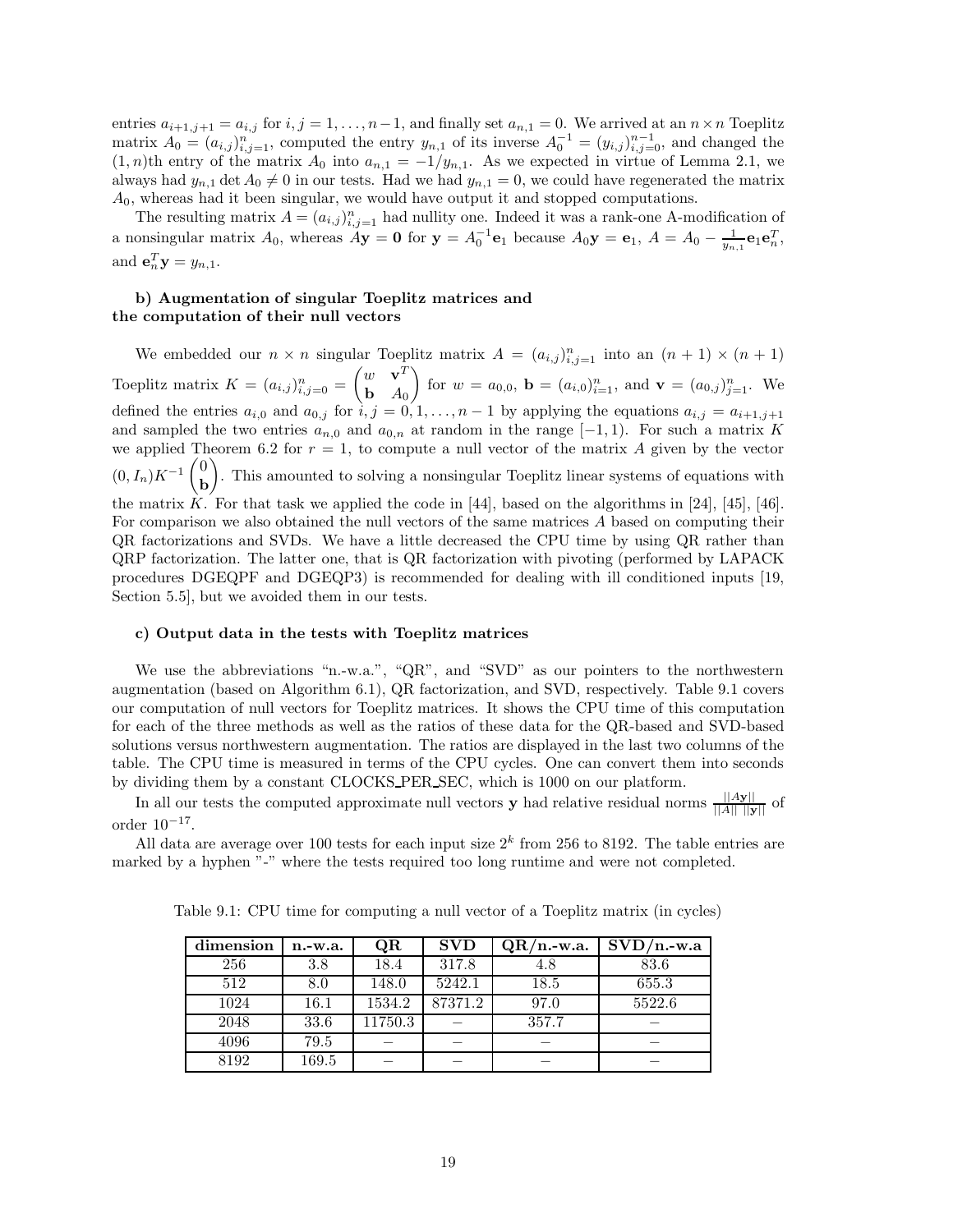entries  $a_{i+1,j+1} = a_{i,j}$  for  $i, j = 1, \ldots, n-1$ , and finally set  $a_{n,1} = 0$ . We arrived at an  $n \times n$  Toeplitz matrix  $A_0 = (a_{i,j})_{i,j=1}^n$ , computed the entry  $y_{n,1}$  of its inverse  $A_0^{-1} = (y_{i,j})_{i,j=0}^{n-1}$ , and changed the  $(1, n)$ th entry of the matrix  $A_0$  into  $a_{n,1} = -1/y_{n,1}$ . As we expected in virtue of Lemma 2.1, we always had  $y_{n,1}$  det  $A_0 \neq 0$  in our tests. Had we had  $y_{n,1} = 0$ , we could have regenerated the matrix *A*0, whereas had it been singular, we would have output it and stopped computations.

The resulting matrix  $A = (a_{i,j})_{i,j=1}^n$  had nullity one. Indeed it was a rank-one A-modification of a nonsingular matrix  $A_0$ , whereas  $A\mathbf{y} = \mathbf{0}$  for  $\mathbf{y} = A_0^{-1} \mathbf{e}_1$  because  $A_0\mathbf{y} = \mathbf{e}_1$ ,  $A = A_0 - \frac{1}{y_{n,1}} \mathbf{e}_1 \mathbf{e}_n^T$ , and  $\mathbf{e}_n^T \mathbf{y} = y_{n,1}$ .

# **b) Augmentation of singular Toeplitz matrices and the computation of their null vectors**

We embedded our  $n \times n$  singular Toeplitz matrix  $A = (a_{i,j})_{i,j=1}^n$  into an  $(n + 1) \times (n + 1)$ Toeplitz matrix  $K = (a_{i,j})_{i,j=0}^n$  $\int w \cdot \mathbf{v}^T$ **b** *A*<sup>0</sup> for  $w = a_{0,0}$ ,  $\mathbf{b} = (a_{i,0})_{i=1}^n$ , and  $\mathbf{v} = (a_{0,j})_{j=1}^n$ . We defined the entries  $a_{i,0}$  and  $a_{0,j}$  for  $i, j = 0, 1, \ldots, n-1$  by applying the equations  $a_{i,j} = a_{i+1,j+1}$ and sampled the two entries  $a_{n,0}$  and  $a_{0,n}$  at random in the range  $[-1,1)$ . For such a matrix *K* we applied Theorem 6.2 for  $r = 1$ , to compute a null vector of the matrix A given by the vector  $(0, I_n)K^{-1}$  $\begin{pmatrix} 0 \\ h \end{pmatrix}$ **b** - . This amounted to solving a nonsingular Toeplitz linear systems of equations with the matrix *K*. For that task we applied the code in [44], based on the algorithms in [24], [45], [46]. For comparison we also obtained the null vectors of the same matrices *A* based on computing their QR factorizations and SVDs. We have a little decreased the CPU time by using QR rather than QRP factorization. The latter one, that is QR factorization with pivoting (performed by LAPACK procedures DGEQPF and DGEQP3) is recommended for dealing with ill conditioned inputs [19, Section 5.5], but we avoided them in our tests.

### **c) Output data in the tests with Toeplitz matrices**

We use the abbreviations "n.-w.a.", "QR", and "SVD" as our pointers to the northwestern augmentation (based on Algorithm 6.1), QR factorization, and SVD, respectively. Table 9.1 covers our computation of null vectors for Toeplitz matrices. It shows the CPU time of this computation for each of the three methods as well as the ratios of these data for the QR-based and SVD-based solutions versus northwestern augmentation. The ratios are displayed in the last two columns of the table. The CPU time is measured in terms of the CPU cycles. One can convert them into seconds by dividing them by a constant CLOCKS PER SEC, which is 1000 on our platform.

In all our tests the computed approximate null vectors **y** had relative residual norms  $\frac{||A\mathbf{y}||}{||A|| \cdot ||\mathbf{y}||}$  of order  $10^{-17}$ .

All data are average over 100 tests for each input size  $2^k$  from 256 to 8192. The table entries are marked by a hyphen "-" where the tests required too long runtime and were not completed.

| dimension | $n.-w.a.$ | QR      | <b>SVD</b> | $QR/n$ -w.a. | $SVD/n$ -w.a |
|-----------|-----------|---------|------------|--------------|--------------|
| 256       | 3.8       | 18.4    | 317.8      | 4.8          | 83.6         |
| 512       | 8.0       | 148.0   | 5242.1     | 18.5         | 655.3        |
| 1024      | 16.1      | 1534.2  | 87371.2    | 97.0         | 5522.6       |
| 2048      | 33.6      | 11750.3 |            | 357.7        |              |
| 4096      | 79.5      |         |            |              |              |
| 8192      | 169.5     |         |            |              |              |

Table 9.1: CPU time for computing a null vector of a Toeplitz matrix (in cycles)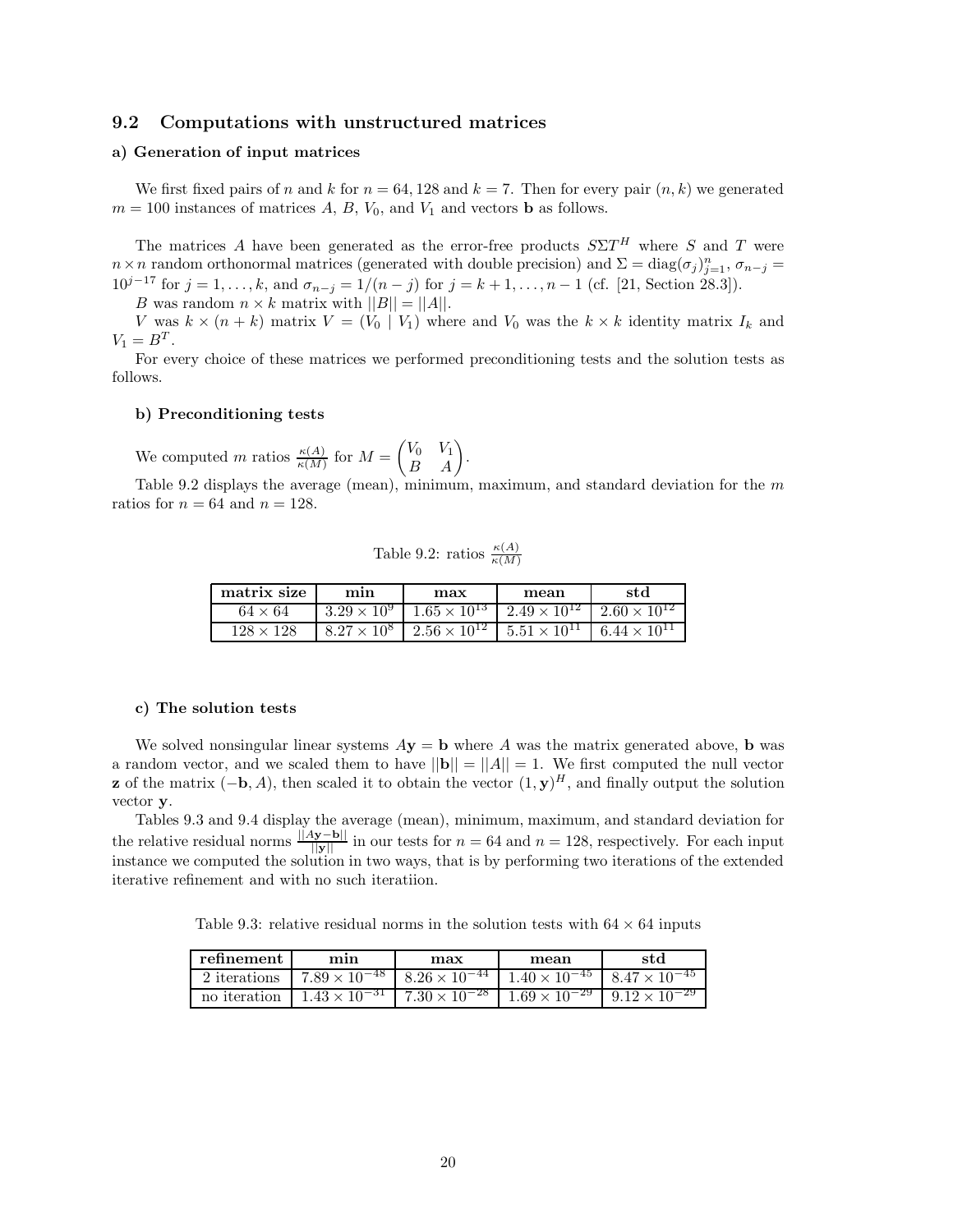## **9.2 Computations with unstructured matrices**

### **a) Generation of input matrices**

We first fixed pairs of *n* and *k* for  $n = 64, 128$  and  $k = 7$ . Then for every pair  $(n, k)$  we generated  $m = 100$  instances of matrices *A*, *B*, *V*<sub>0</sub>, and *V*<sub>1</sub> and vectors **b** as follows.

The matrices *A* have been generated as the error-free products  $S\Sigma T^H$  where *S* and *T* were *n* × *n* random orthonormal matrices (generated with double precision) and  $\Sigma = diag(\sigma_j)_{j=1}^n$ ,  $\sigma_{n-j} =$ 10<sup>*j*−17</sup> for *j* = 1,..., *k*, and  $\sigma_{n-j} = 1/(n-j)$  for  $j = k+1, ..., n-1$  (cf. [21, Section 28.3]).

*B* was random  $n \times k$  matrix with  $||B|| = ||A||$ .

*V* was  $k \times (n + k)$  matrix  $V = (V_0 \mid V_1)$  where and  $V_0$  was the  $k \times k$  identity matrix  $I_k$  and  $V_1 = B^T$ .

For every choice of these matrices we performed preconditioning tests and the solution tests as follows.

#### **b) Preconditioning tests**

We computed *m* ratios  $\frac{\kappa(A)}{\kappa(M)}$  for  $M =$  $\begin{pmatrix} V_0 & V_1 \\ B & A \end{pmatrix}$ .

Table 9.2 displays the average (mean), minimum, maximum, and standard deviation for the *m* ratios for  $n = 64$  and  $n = 128$ .

Table 9.2: ratios 
$$
\frac{\kappa(A)}{\kappa(M)}
$$

| matrix size      | mın                  | max                   | mean                                          | std                   |
|------------------|----------------------|-----------------------|-----------------------------------------------|-----------------------|
| $64 \times 64$   | $3.29 \times 10^{9}$ | $1.65 \times 10^{13}$ | $1.2.49 \times 10^{12}$ $2.60 \times 10^{12}$ |                       |
| $128 \times 128$ | $8.27 \times 10^{8}$ | $2.56 \times 10^{12}$ | $5.51 \times 10^{11}$                         | $6.44 \times 10^{11}$ |

#### **c) The solution tests**

We solved nonsingular linear systems  $A$ **y** = **b** where  $A$  was the matrix generated above, **b** was a random vector, and we scaled them to have  $||\mathbf{b}|| = ||A|| = 1$ . We first computed the null vector **z** of the matrix  $(-\mathbf{b}, A)$ , then scaled it to obtain the vector  $(1, \mathbf{y})^H$ , and finally output the solution vector **y**.

Tables 9.3 and 9.4 display the average (mean), minimum, maximum, and standard deviation for the relative residual norms  $\frac{\|Ay-b\|}{\|y\|}$  in our tests for  $n = 64$  and  $n = 128$ , respectively. For each input instance we computed the solution in two ways, that is by performing two iterations of the extended iterative refinement and with no such iteratiion.

Table 9.3: relative residual norms in the solution tests with  $64 \times 64$  inputs

| refinement   | mın                     | max                                             | mean                   | std                    |
|--------------|-------------------------|-------------------------------------------------|------------------------|------------------------|
| 2 iterations | $17.89 \times 10^{-48}$ | $8.26 \times 10^{-44}$                          | $1.40 \times 10^{-45}$ | $8.47 \times 10^{-45}$ |
| no iteration |                         | $1.43 \times 10^{-31}$   $7.30 \times 10^{-28}$ | $1.69 \times 10^{-29}$ | $9.12 \times 10^{-29}$ |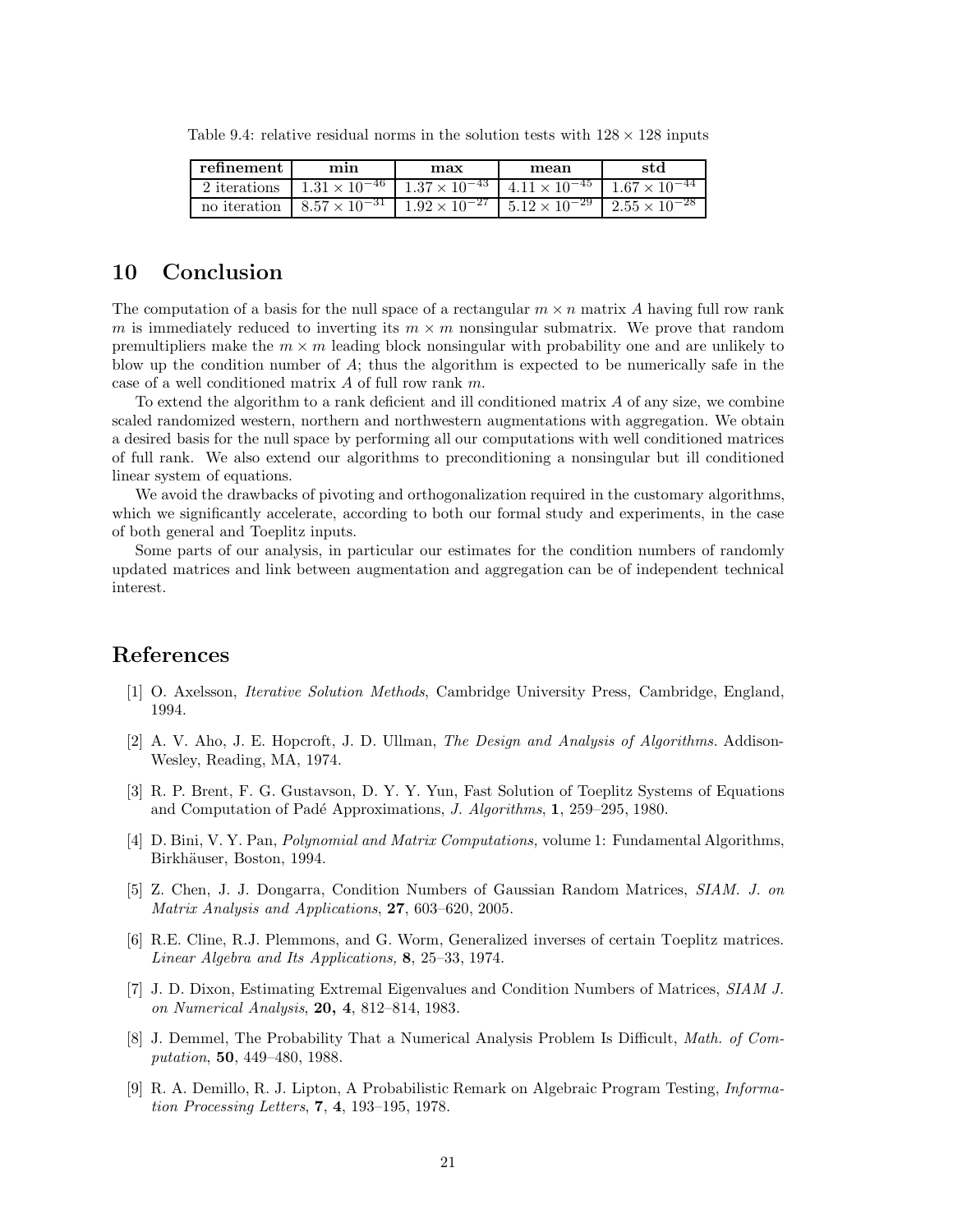| refinement   | mın                                                                                          | max                    | mean | std                                             |
|--------------|----------------------------------------------------------------------------------------------|------------------------|------|-------------------------------------------------|
| 2 iterations | $1.31 \times 10^{-46}$                                                                       | $1.37 \times 10^{-43}$ |      | $4.11 \times 10^{-45}$   $1.67 \times 10^{-44}$ |
| no iteration | $1.857 \times 10^{-31}$ $1.92 \times 10^{-27}$ $5.12 \times 10^{-29}$ $2.55 \times 10^{-28}$ |                        |      |                                                 |

Table 9.4: relative residual norms in the solution tests with  $128 \times 128$  inputs

# **10 Conclusion**

The computation of a basis for the null space of a rectangular  $m \times n$  matrix A having full row rank *m* is immediately reduced to inverting its  $m \times m$  nonsingular submatrix. We prove that random premultipliers make the  $m \times m$  leading block nonsingular with probability one and are unlikely to blow up the condition number of *A*; thus the algorithm is expected to be numerically safe in the case of a well conditioned matrix *A* of full row rank *m*.

To extend the algorithm to a rank deficient and ill conditioned matrix *A* of any size, we combine scaled randomized western, northern and northwestern augmentations with aggregation. We obtain a desired basis for the null space by performing all our computations with well conditioned matrices of full rank. We also extend our algorithms to preconditioning a nonsingular but ill conditioned linear system of equations.

We avoid the drawbacks of pivoting and orthogonalization required in the customary algorithms, which we significantly accelerate, according to both our formal study and experiments, in the case of both general and Toeplitz inputs.

Some parts of our analysis, in particular our estimates for the condition numbers of randomly updated matrices and link between augmentation and aggregation can be of independent technical interest.

# **References**

- [1] O. Axelsson, *Iterative Solution Methods*, Cambridge University Press, Cambridge, England, 1994.
- [2] A. V. Aho, J. E. Hopcroft, J. D. Ullman, *The Design and Analysis of Algorithms.* Addison-Wesley, Reading, MA, 1974.
- [3] R. P. Brent, F. G. Gustavson, D. Y. Y. Yun, Fast Solution of Toeplitz Systems of Equations and Computation of Pad´e Approximations, *J. Algorithms*, **1**, 259–295, 1980.
- [4] D. Bini, V. Y. Pan, *Polynomial and Matrix Computations,* volume 1: Fundamental Algorithms, Birkhäuser, Boston, 1994.
- [5] Z. Chen, J. J. Dongarra, Condition Numbers of Gaussian Random Matrices, *SIAM. J. on Matrix Analysis and Applications*, **27**, 603–620, 2005.
- [6] R.E. Cline, R.J. Plemmons, and G. Worm, Generalized inverses of certain Toeplitz matrices. *Linear Algebra and Its Applications,* **8**, 25–33, 1974.
- [7] J. D. Dixon, Estimating Extremal Eigenvalues and Condition Numbers of Matrices, *SIAM J. on Numerical Analysis*, **20, 4**, 812–814, 1983.
- [8] J. Demmel, The Probability That a Numerical Analysis Problem Is Difficult, *Math. of Computation*, **50**, 449–480, 1988.
- [9] R. A. Demillo, R. J. Lipton, A Probabilistic Remark on Algebraic Program Testing, *Information Processing Letters*, **7**, **4**, 193–195, 1978.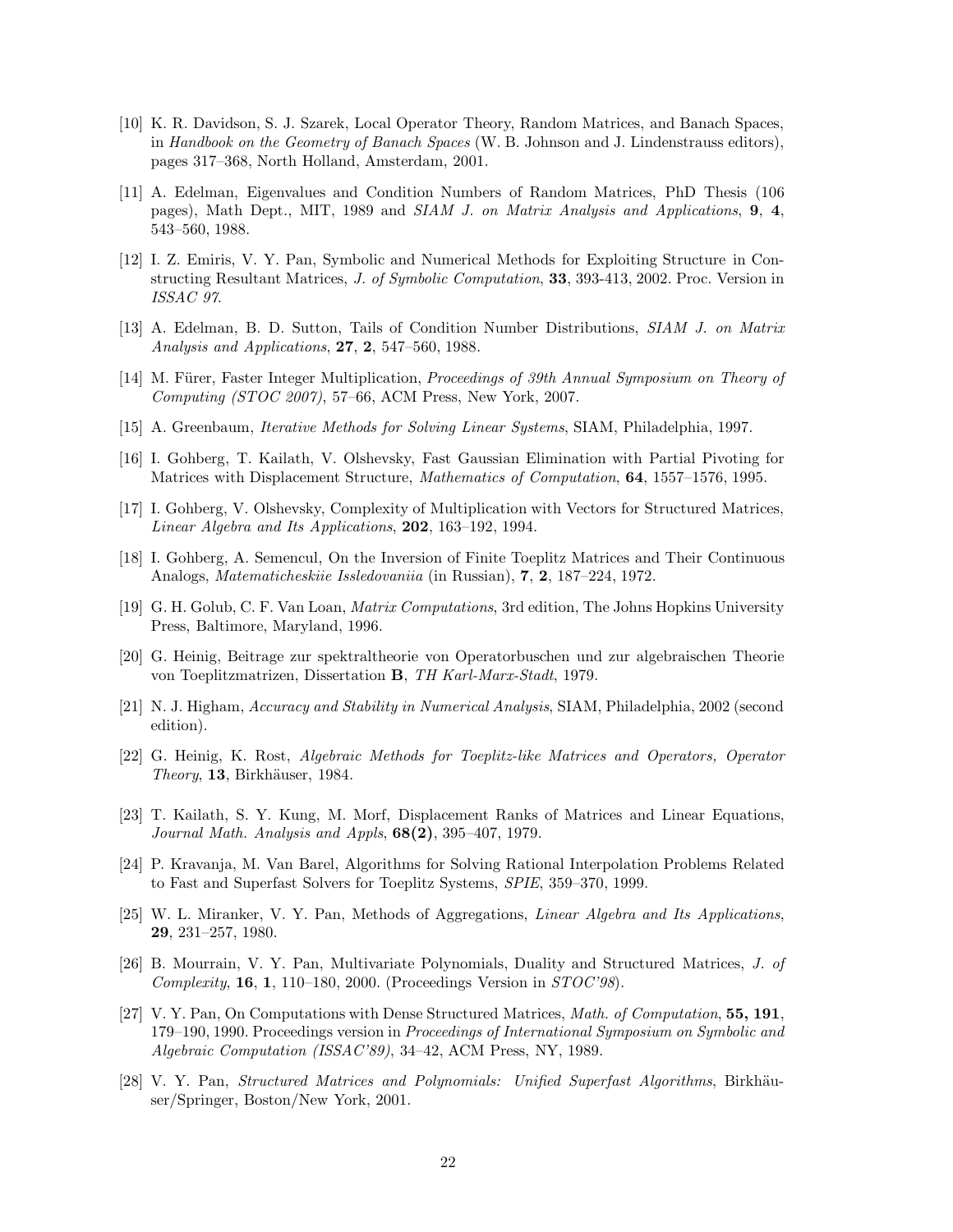- [10] K. R. Davidson, S. J. Szarek, Local Operator Theory, Random Matrices, and Banach Spaces, in *Handbook on the Geometry of Banach Spaces* (W. B. Johnson and J. Lindenstrauss editors), pages 317–368, North Holland, Amsterdam, 2001.
- [11] A. Edelman, Eigenvalues and Condition Numbers of Random Matrices, PhD Thesis (106 pages), Math Dept., MIT, 1989 and *SIAM J. on Matrix Analysis and Applications*, **9**, **4**, 543–560, 1988.
- [12] I. Z. Emiris, V. Y. Pan, Symbolic and Numerical Methods for Exploiting Structure in Constructing Resultant Matrices, *J. of Symbolic Computation*, **33**, 393-413, 2002. Proc. Version in *ISSAC 97*.
- [13] A. Edelman, B. D. Sutton, Tails of Condition Number Distributions, *SIAM J. on Matrix Analysis and Applications*, **27**, **2**, 547–560, 1988.
- [14] M. Fürer, Faster Integer Multiplication, *Proceedings of 39th Annual Symposium on Theory of Computing (STOC 2007)*, 57–66, ACM Press, New York, 2007.
- [15] A. Greenbaum, *Iterative Methods for Solving Linear Systems*, SIAM, Philadelphia, 1997.
- [16] I. Gohberg, T. Kailath, V. Olshevsky, Fast Gaussian Elimination with Partial Pivoting for Matrices with Displacement Structure, *Mathematics of Computation*, **64**, 1557–1576, 1995.
- [17] I. Gohberg, V. Olshevsky, Complexity of Multiplication with Vectors for Structured Matrices, *Linear Algebra and Its Applications*, **202**, 163–192, 1994.
- [18] I. Gohberg, A. Semencul, On the Inversion of Finite Toeplitz Matrices and Their Continuous Analogs, *Matematicheskiie Issledovaniia* (in Russian), **7**, **2**, 187–224, 1972.
- [19] G. H. Golub, C. F. Van Loan, *Matrix Computations*, 3rd edition, The Johns Hopkins University Press, Baltimore, Maryland, 1996.
- [20] G. Heinig, Beitrage zur spektraltheorie von Operatorbuschen und zur algebraischen Theorie von Toeplitzmatrizen, Dissertation **B**, *TH Karl-Marx-Stadt*, 1979.
- [21] N. J. Higham, *Accuracy and Stability in Numerical Analysis*, SIAM, Philadelphia, 2002 (second edition).
- [22] G. Heinig, K. Rost, *Algebraic Methods for Toeplitz-like Matrices and Operators, Operator Theory*, **13**, Birkhäuser, 1984.
- [23] T. Kailath, S. Y. Kung, M. Morf, Displacement Ranks of Matrices and Linear Equations, *Journal Math. Analysis and Appls*, **68(2)**, 395–407, 1979.
- [24] P. Kravanja, M. Van Barel, Algorithms for Solving Rational Interpolation Problems Related to Fast and Superfast Solvers for Toeplitz Systems, *SPIE*, 359–370, 1999.
- [25] W. L. Miranker, V. Y. Pan, Methods of Aggregations, *Linear Algebra and Its Applications*, **29**, 231–257, 1980.
- [26] B. Mourrain, V. Y. Pan, Multivariate Polynomials, Duality and Structured Matrices, *J. of Complexity*, **16**, **1**, 110–180, 2000. (Proceedings Version in *STOC'98*).
- [27] V. Y. Pan, On Computations with Dense Structured Matrices, *Math. of Computation*, **55, 191**, 179–190, 1990. Proceedings version in *Proceedings of International Symposium on Symbolic and Algebraic Computation (ISSAC'89)*, 34–42, ACM Press, NY, 1989.
- [28] V. Y. Pan, *Structured Matrices and Polynomials: Unified Superfast Algorithms*, Birkhäuser/Springer, Boston/New York, 2001.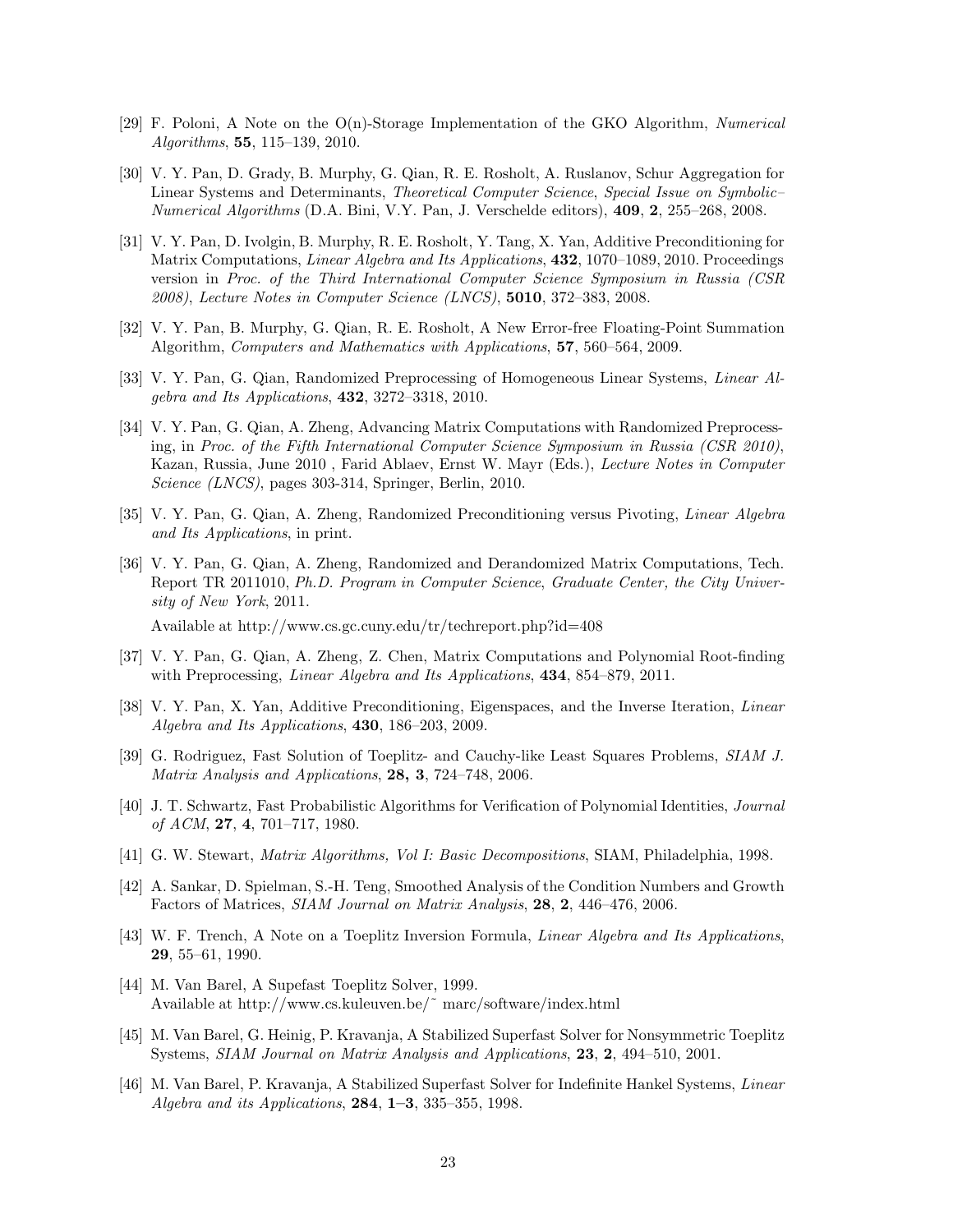- [29] F. Poloni, A Note on the O(n)-Storage Implementation of the GKO Algorithm, *Numerical Algorithms*, **55**, 115–139, 2010.
- [30] V. Y. Pan, D. Grady, B. Murphy, G. Qian, R. E. Rosholt, A. Ruslanov, Schur Aggregation for Linear Systems and Determinants, *Theoretical Computer Science*, *Special Issue on Symbolic– Numerical Algorithms* (D.A. Bini, V.Y. Pan, J. Verschelde editors), **409**, **2**, 255–268, 2008.
- [31] V. Y. Pan, D. Ivolgin, B. Murphy, R. E. Rosholt, Y. Tang, X. Yan, Additive Preconditioning for Matrix Computations, *Linear Algebra and Its Applications*, **432**, 1070–1089, 2010. Proceedings version in *Proc. of the Third International Computer Science Symposium in Russia (CSR 2008)*, *Lecture Notes in Computer Science (LNCS)*, **5010**, 372–383, 2008.
- [32] V. Y. Pan, B. Murphy, G. Qian, R. E. Rosholt, A New Error-free Floating-Point Summation Algorithm, *Computers and Mathematics with Applications*, **57**, 560–564, 2009.
- [33] V. Y. Pan, G. Qian, Randomized Preprocessing of Homogeneous Linear Systems, *Linear Algebra and Its Applications*, **432**, 3272–3318, 2010.
- [34] V. Y. Pan, G. Qian, A. Zheng, Advancing Matrix Computations with Randomized Preprocessing, in *Proc. of the Fifth International Computer Science Symposium in Russia (CSR 2010)*, Kazan, Russia, June 2010 , Farid Ablaev, Ernst W. Mayr (Eds.), *Lecture Notes in Computer Science (LNCS)*, pages 303-314, Springer, Berlin, 2010.
- [35] V. Y. Pan, G. Qian, A. Zheng, Randomized Preconditioning versus Pivoting, *Linear Algebra and Its Applications*, in print.
- [36] V. Y. Pan, G. Qian, A. Zheng, Randomized and Derandomized Matrix Computations, Tech. Report TR 2011010, *Ph.D. Program in Computer Science*, *Graduate Center, the City University of New York*, 2011.

Available at http://www.cs.gc.cuny.edu/tr/techreport.php?id=408

- [37] V. Y. Pan, G. Qian, A. Zheng, Z. Chen, Matrix Computations and Polynomial Root-finding with Preprocessing, *Linear Algebra and Its Applications*, **434**, 854–879, 2011.
- [38] V. Y. Pan, X. Yan, Additive Preconditioning, Eigenspaces, and the Inverse Iteration, *Linear Algebra and Its Applications*, **430**, 186–203, 2009.
- [39] G. Rodriguez, Fast Solution of Toeplitz- and Cauchy-like Least Squares Problems, *SIAM J. Matrix Analysis and Applications*, **28, 3**, 724–748, 2006.
- [40] J. T. Schwartz, Fast Probabilistic Algorithms for Verification of Polynomial Identities, *Journal of ACM*, **27**, **4**, 701–717, 1980.
- [41] G. W. Stewart, *Matrix Algorithms, Vol I: Basic Decompositions*, SIAM, Philadelphia, 1998.
- [42] A. Sankar, D. Spielman, S.-H. Teng, Smoothed Analysis of the Condition Numbers and Growth Factors of Matrices, *SIAM Journal on Matrix Analysis*, **28**, **2**, 446–476, 2006.
- [43] W. F. Trench, A Note on a Toeplitz Inversion Formula, *Linear Algebra and Its Applications*, **29**, 55–61, 1990.
- [44] M. Van Barel, A Supefast Toeplitz Solver, 1999. Available at http://www.cs.kuleuven.be/˜ marc/software/index.html
- [45] M. Van Barel, G. Heinig, P. Kravanja, A Stabilized Superfast Solver for Nonsymmetric Toeplitz Systems, *SIAM Journal on Matrix Analysis and Applications*, **23**, **2**, 494–510, 2001.
- [46] M. Van Barel, P. Kravanja, A Stabilized Superfast Solver for Indefinite Hankel Systems, *Linear Algebra and its Applications*, **284**, **1–3**, 335–355, 1998.